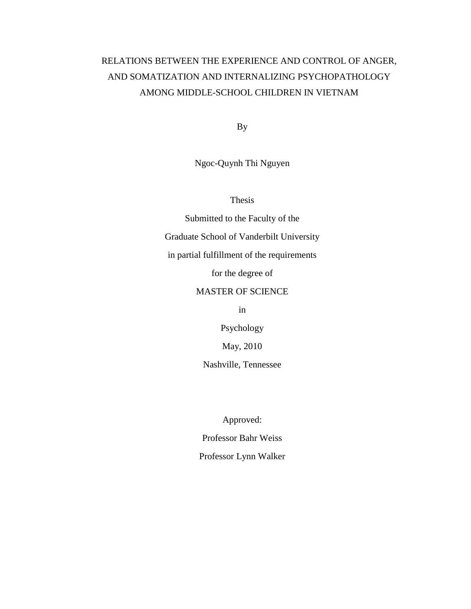# RELATIONS BETWEEN THE EXPERIENCE AND CONTROL OF ANGER, AND SOMATIZATION AND INTERNALIZING PSYCHOPATHOLOGY AMONG MIDDLE-SCHOOL CHILDREN IN VIETNAM

By

Ngoc-Quynh Thi Nguyen

Thesis

Submitted to the Faculty of the Graduate School of Vanderbilt University in partial fulfillment of the requirements for the degree of MASTER OF SCIENCE

in

Psychology

May, 2010

Nashville, Tennessee

Approved: Professor Bahr Weiss Professor Lynn Walker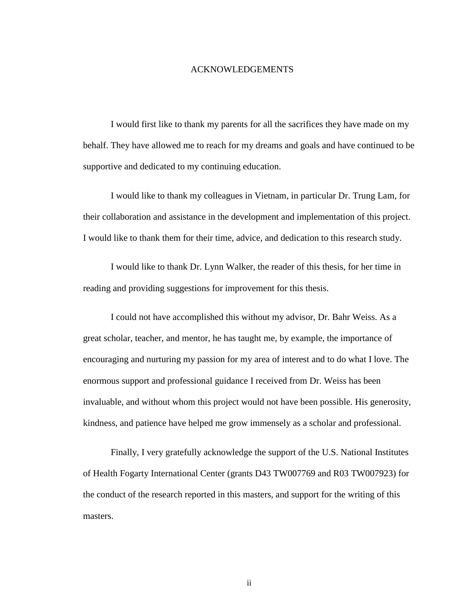#### ACKNOWLEDGEMENTS

I would first like to thank my parents for all the sacrifices they have made on my behalf. They have allowed me to reach for my dreams and goals and have continued to be supportive and dedicated to my continuing education.

I would like to thank my colleagues in Vietnam, in particular Dr. Trung Lam, for their collaboration and assistance in the development and implementation of this project. I would like to thank them for their time, advice, and dedication to this research study.

I would like to thank Dr. Lynn Walker, the reader of this thesis, for her time in reading and providing suggestions for improvement for this thesis.

I could not have accomplished this without my advisor, Dr. Bahr Weiss. As a great scholar, teacher, and mentor, he has taught me, by example, the importance of encouraging and nurturing my passion for my area of interest and to do what I love. The enormous support and professional guidance I received from Dr. Weiss has been invaluable, and without whom this project would not have been possible. His generosity, kindness, and patience have helped me grow immensely as a scholar and professional.

Finally, I very gratefully acknowledge the support of the U.S. National Institutes of Health Fogarty International Center (grants D43 TW007769 and R03 TW007923) for the conduct of the research reported in this masters, and support for the writing of this masters.

ii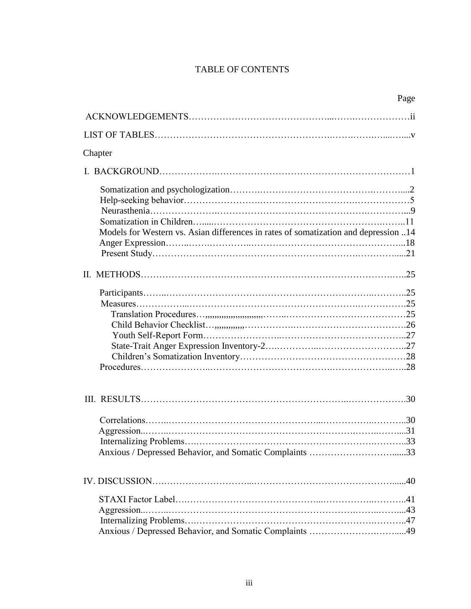# TABLE OF CONTENTS

|                                                                                     | Page |
|-------------------------------------------------------------------------------------|------|
|                                                                                     |      |
|                                                                                     |      |
| Chapter                                                                             |      |
|                                                                                     |      |
|                                                                                     |      |
|                                                                                     |      |
|                                                                                     |      |
|                                                                                     |      |
| Models for Western vs. Asian differences in rates of somatization and depression 14 |      |
|                                                                                     |      |
|                                                                                     |      |
|                                                                                     |      |
|                                                                                     |      |
|                                                                                     |      |
|                                                                                     |      |
|                                                                                     |      |
|                                                                                     |      |
|                                                                                     |      |
|                                                                                     |      |
|                                                                                     |      |
|                                                                                     |      |
|                                                                                     |      |
|                                                                                     |      |
|                                                                                     |      |
|                                                                                     |      |
|                                                                                     |      |
|                                                                                     |      |
|                                                                                     |      |
|                                                                                     |      |
|                                                                                     |      |
| Anxious / Depressed Behavior, and Somatic Complaints 49                             |      |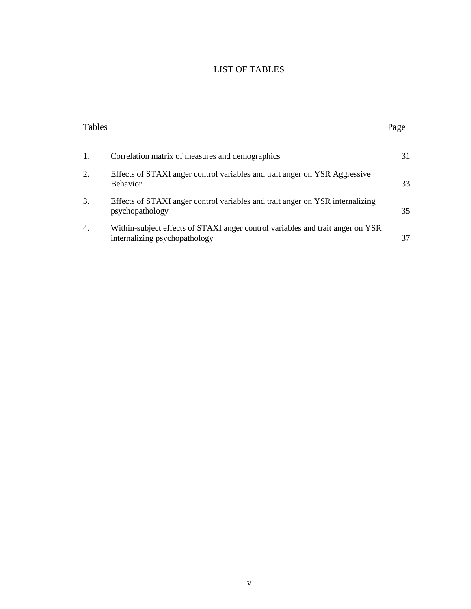# LIST OF TABLES

| Tables           |                                                                                                                 | Page |
|------------------|-----------------------------------------------------------------------------------------------------------------|------|
| 1.               | Correlation matrix of measures and demographics                                                                 | 31   |
| 2.               | Effects of STAXI anger control variables and trait anger on YSR Aggressive<br><b>Behavior</b>                   | 33   |
| 3.               | Effects of STAXI anger control variables and trait anger on YSR internalizing<br>psychopathology                | 35   |
| $\overline{4}$ . | Within-subject effects of STAXI anger control variables and trait anger on YSR<br>internalizing psychopathology | 37   |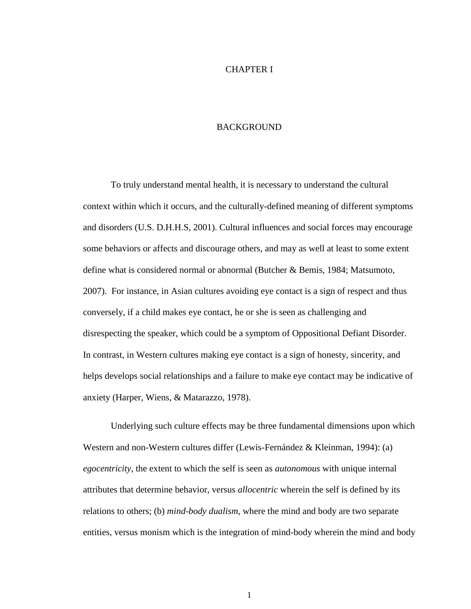#### CHAPTER I

#### BACKGROUND

To truly understand mental health, it is necessary to understand the cultural context within which it occurs, and the culturally-defined meaning of different symptoms and disorders (U.S. D.H.H.S, 2001). Cultural influences and social forces may encourage some behaviors or affects and discourage others, and may as well at least to some extent define what is considered normal or abnormal (Butcher & Bemis, 1984; Matsumoto, 2007). For instance, in Asian cultures avoiding eye contact is a sign of respect and thus conversely, if a child makes eye contact, he or she is seen as challenging and disrespecting the speaker, which could be a symptom of Oppositional Defiant Disorder. In contrast, in Western cultures making eye contact is a sign of honesty, sincerity, and helps develops social relationships and a failure to make eye contact may be indicative of anxiety (Harper, Wiens, & Matarazzo, 1978).

Underlying such culture effects may be three fundamental dimensions upon which Western and non-Western cultures differ (Lewis-Fernández & Kleinman, 1994): (a) *egocentricity*, the extent to which the self is seen as *autonomous* with unique internal attributes that determine behavior, versus *allocentric* wherein the self is defined by its relations to others; (b) *mind-body dualism*, where the mind and body are two separate entities, versus monism which is the integration of mind-body wherein the mind and body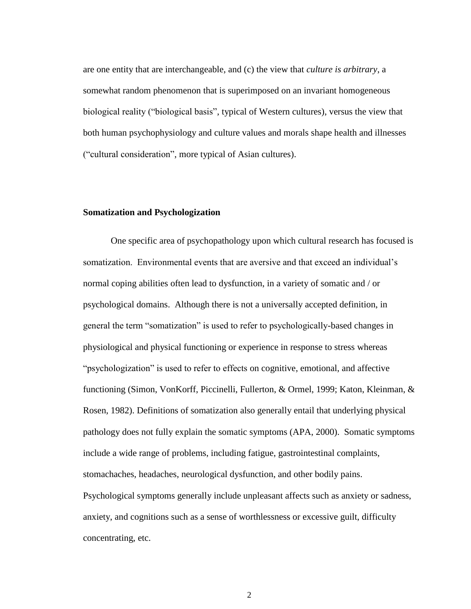are one entity that are interchangeable, and (c) the view that *culture is arbitrary*, a somewhat random phenomenon that is superimposed on an invariant homogeneous biological reality ("biological basis", typical of Western cultures), versus the view that both human psychophysiology and culture values and morals shape health and illnesses ("cultural consideration", more typical of Asian cultures).

#### **Somatization and Psychologization**

One specific area of psychopathology upon which cultural research has focused is somatization. Environmental events that are aversive and that exceed an individual"s normal coping abilities often lead to dysfunction, in a variety of somatic and / or psychological domains. Although there is not a universally accepted definition, in general the term "somatization" is used to refer to psychologically-based changes in physiological and physical functioning or experience in response to stress whereas "psychologization" is used to refer to effects on cognitive, emotional, and affective functioning (Simon, VonKorff, Piccinelli, Fullerton, & Ormel, 1999; Katon, Kleinman, & Rosen, 1982). Definitions of somatization also generally entail that underlying physical pathology does not fully explain the somatic symptoms (APA, 2000). Somatic symptoms include a wide range of problems, including fatigue, gastrointestinal complaints, stomachaches, headaches, neurological dysfunction, and other bodily pains. Psychological symptoms generally include unpleasant affects such as anxiety or sadness, anxiety, and cognitions such as a sense of worthlessness or excessive guilt, difficulty concentrating, etc.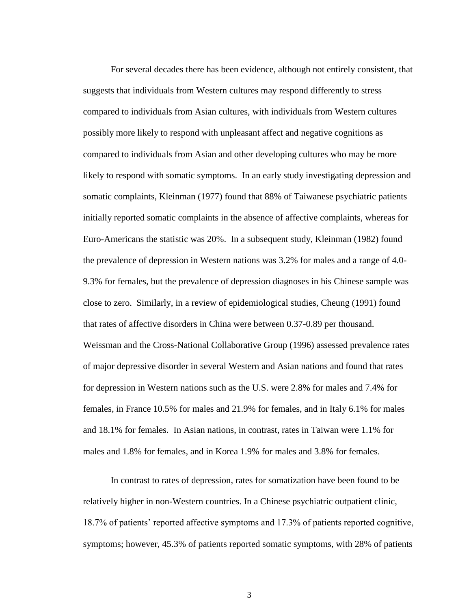For several decades there has been evidence, although not entirely consistent, that suggests that individuals from Western cultures may respond differently to stress compared to individuals from Asian cultures, with individuals from Western cultures possibly more likely to respond with unpleasant affect and negative cognitions as compared to individuals from Asian and other developing cultures who may be more likely to respond with somatic symptoms. In an early study investigating depression and somatic complaints, Kleinman (1977) found that 88% of Taiwanese psychiatric patients initially reported somatic complaints in the absence of affective complaints, whereas for Euro-Americans the statistic was 20%. In a subsequent study, Kleinman (1982) found the prevalence of depression in Western nations was 3.2% for males and a range of 4.0- 9.3% for females, but the prevalence of depression diagnoses in his Chinese sample was close to zero. Similarly, in a review of epidemiological studies, Cheung (1991) found that rates of affective disorders in China were between 0.37-0.89 per thousand. Weissman and the Cross-National Collaborative Group (1996) assessed prevalence rates of major depressive disorder in several Western and Asian nations and found that rates for depression in Western nations such as the U.S. were 2.8% for males and 7.4% for females, in France 10.5% for males and 21.9% for females, and in Italy 6.1% for males and 18.1% for females. In Asian nations, in contrast, rates in Taiwan were 1.1% for males and 1.8% for females, and in Korea 1.9% for males and 3.8% for females.

In contrast to rates of depression, rates for somatization have been found to be relatively higher in non-Western countries. In a Chinese psychiatric outpatient clinic, 18.7% of patients" reported affective symptoms and 17.3% of patients reported cognitive, symptoms; however, 45.3% of patients reported somatic symptoms, with 28% of patients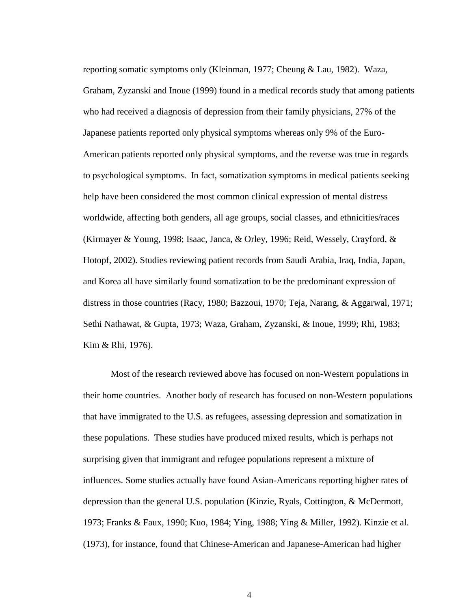reporting somatic symptoms only (Kleinman, 1977; Cheung & Lau, 1982). Waza, Graham, Zyzanski and Inoue (1999) found in a medical records study that among patients who had received a diagnosis of depression from their family physicians, 27% of the Japanese patients reported only physical symptoms whereas only 9% of the Euro-American patients reported only physical symptoms, and the reverse was true in regards to psychological symptoms. In fact, somatization symptoms in medical patients seeking help have been considered the most common clinical expression of mental distress worldwide, affecting both genders, all age groups, social classes, and ethnicities/races (Kirmayer & Young, 1998; Isaac, Janca, & Orley, 1996; Reid, Wessely, Crayford, & Hotopf, 2002). Studies reviewing patient records from Saudi Arabia, Iraq, India, Japan, and Korea all have similarly found somatization to be the predominant expression of distress in those countries (Racy, 1980; Bazzoui, 1970; Teja, Narang, & Aggarwal, 1971; Sethi Nathawat, & Gupta, 1973; Waza, Graham, Zyzanski, & Inoue, 1999; Rhi, 1983; Kim & Rhi, 1976).

Most of the research reviewed above has focused on non-Western populations in their home countries. Another body of research has focused on non-Western populations that have immigrated to the U.S. as refugees, assessing depression and somatization in these populations. These studies have produced mixed results, which is perhaps not surprising given that immigrant and refugee populations represent a mixture of influences. Some studies actually have found Asian-Americans reporting higher rates of depression than the general U.S. population (Kinzie, Ryals, Cottington, & McDermott, 1973; Franks & Faux, 1990; Kuo, 1984; Ying, 1988; Ying & Miller, 1992). Kinzie et al. (1973), for instance, found that Chinese-American and Japanese-American had higher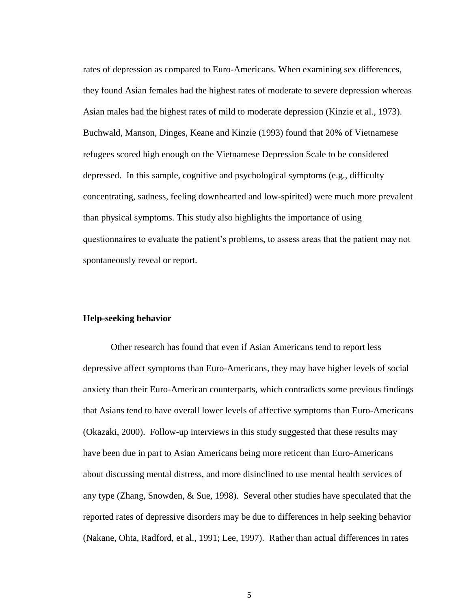rates of depression as compared to Euro-Americans. When examining sex differences, they found Asian females had the highest rates of moderate to severe depression whereas Asian males had the highest rates of mild to moderate depression (Kinzie et al., 1973). Buchwald, Manson, Dinges, Keane and Kinzie (1993) found that 20% of Vietnamese refugees scored high enough on the Vietnamese Depression Scale to be considered depressed. In this sample, cognitive and psychological symptoms (e.g., difficulty concentrating, sadness, feeling downhearted and low-spirited) were much more prevalent than physical symptoms. This study also highlights the importance of using questionnaires to evaluate the patient"s problems, to assess areas that the patient may not spontaneously reveal or report.

#### **Help-seeking behavior**

Other research has found that even if Asian Americans tend to report less depressive affect symptoms than Euro-Americans, they may have higher levels of social anxiety than their Euro-American counterparts, which contradicts some previous findings that Asians tend to have overall lower levels of affective symptoms than Euro-Americans (Okazaki, 2000). Follow-up interviews in this study suggested that these results may have been due in part to Asian Americans being more reticent than Euro-Americans about discussing mental distress, and more disinclined to use mental health services of any type (Zhang, Snowden, & Sue, 1998). Several other studies have speculated that the reported rates of depressive disorders may be due to differences in help seeking behavior (Nakane, Ohta, Radford, et al., 1991; Lee, 1997). Rather than actual differences in rates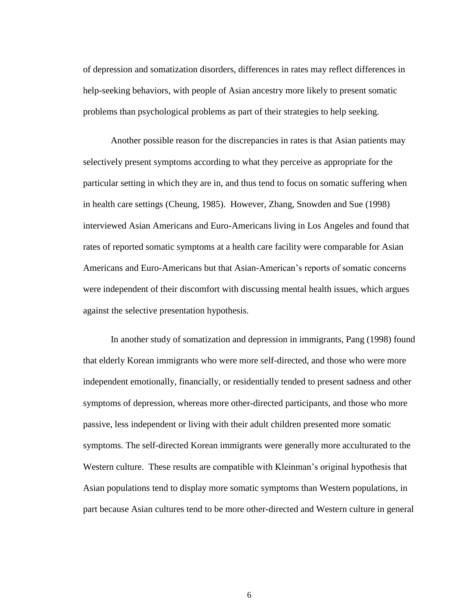of depression and somatization disorders, differences in rates may reflect differences in help-seeking behaviors, with people of Asian ancestry more likely to present somatic problems than psychological problems as part of their strategies to help seeking.

Another possible reason for the discrepancies in rates is that Asian patients may selectively present symptoms according to what they perceive as appropriate for the particular setting in which they are in, and thus tend to focus on somatic suffering when in health care settings (Cheung, 1985). However, Zhang, Snowden and Sue (1998) interviewed Asian Americans and Euro-Americans living in Los Angeles and found that rates of reported somatic symptoms at a health care facility were comparable for Asian Americans and Euro-Americans but that Asian-American"s reports of somatic concerns were independent of their discomfort with discussing mental health issues, which argues against the selective presentation hypothesis.

In another study of somatization and depression in immigrants, Pang (1998) found that elderly Korean immigrants who were more self-directed, and those who were more independent emotionally, financially, or residentially tended to present sadness and other symptoms of depression, whereas more other-directed participants, and those who more passive, less independent or living with their adult children presented more somatic symptoms. The self-directed Korean immigrants were generally more acculturated to the Western culture. These results are compatible with Kleinman"s original hypothesis that Asian populations tend to display more somatic symptoms than Western populations, in part because Asian cultures tend to be more other-directed and Western culture in general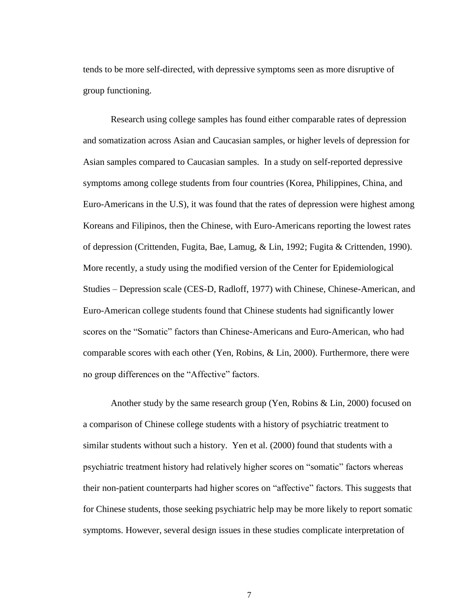tends to be more self-directed, with depressive symptoms seen as more disruptive of group functioning.

Research using college samples has found either comparable rates of depression and somatization across Asian and Caucasian samples, or higher levels of depression for Asian samples compared to Caucasian samples. In a study on self-reported depressive symptoms among college students from four countries (Korea, Philippines, China, and Euro-Americans in the U.S), it was found that the rates of depression were highest among Koreans and Filipinos, then the Chinese, with Euro-Americans reporting the lowest rates of depression (Crittenden, Fugita, Bae, Lamug, & Lin, 1992; Fugita & Crittenden, 1990). More recently, a study using the modified version of the Center for Epidemiological Studies – Depression scale (CES-D, Radloff, 1977) with Chinese, Chinese-American, and Euro-American college students found that Chinese students had significantly lower scores on the "Somatic" factors than Chinese-Americans and Euro-American, who had comparable scores with each other (Yen, Robins, & Lin, 2000). Furthermore, there were no group differences on the "Affective" factors.

Another study by the same research group (Yen, Robins & Lin, 2000) focused on a comparison of Chinese college students with a history of psychiatric treatment to similar students without such a history. Yen et al. (2000) found that students with a psychiatric treatment history had relatively higher scores on "somatic" factors whereas their non-patient counterparts had higher scores on "affective" factors. This suggests that for Chinese students, those seeking psychiatric help may be more likely to report somatic symptoms. However, several design issues in these studies complicate interpretation of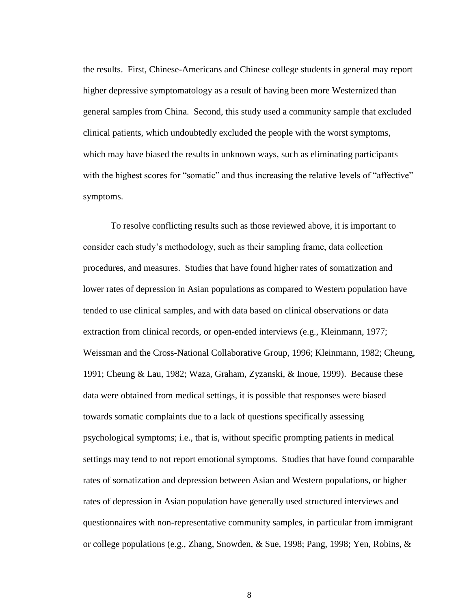the results. First, Chinese-Americans and Chinese college students in general may report higher depressive symptomatology as a result of having been more Westernized than general samples from China. Second, this study used a community sample that excluded clinical patients, which undoubtedly excluded the people with the worst symptoms, which may have biased the results in unknown ways, such as eliminating participants with the highest scores for "somatic" and thus increasing the relative levels of "affective" symptoms.

To resolve conflicting results such as those reviewed above, it is important to consider each study"s methodology, such as their sampling frame, data collection procedures, and measures. Studies that have found higher rates of somatization and lower rates of depression in Asian populations as compared to Western population have tended to use clinical samples, and with data based on clinical observations or data extraction from clinical records, or open-ended interviews (e.g., Kleinmann, 1977; Weissman and the Cross-National Collaborative Group, 1996; Kleinmann, 1982; Cheung, 1991; Cheung & Lau, 1982; Waza, Graham, Zyzanski, & Inoue, 1999). Because these data were obtained from medical settings, it is possible that responses were biased towards somatic complaints due to a lack of questions specifically assessing psychological symptoms; i.e., that is, without specific prompting patients in medical settings may tend to not report emotional symptoms. Studies that have found comparable rates of somatization and depression between Asian and Western populations, or higher rates of depression in Asian population have generally used structured interviews and questionnaires with non-representative community samples, in particular from immigrant or college populations (e.g., Zhang, Snowden, & Sue, 1998; Pang, 1998; Yen, Robins, &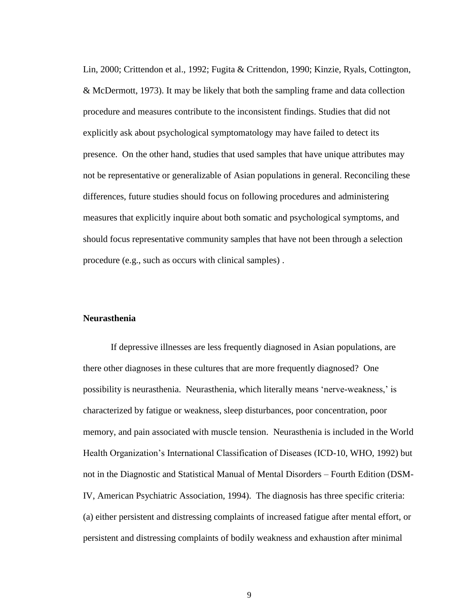Lin, 2000; Crittendon et al., 1992; Fugita & Crittendon, 1990; Kinzie, Ryals, Cottington, & McDermott, 1973). It may be likely that both the sampling frame and data collection procedure and measures contribute to the inconsistent findings. Studies that did not explicitly ask about psychological symptomatology may have failed to detect its presence. On the other hand, studies that used samples that have unique attributes may not be representative or generalizable of Asian populations in general. Reconciling these differences, future studies should focus on following procedures and administering measures that explicitly inquire about both somatic and psychological symptoms, and should focus representative community samples that have not been through a selection procedure (e.g., such as occurs with clinical samples) .

#### **Neurasthenia**

If depressive illnesses are less frequently diagnosed in Asian populations, are there other diagnoses in these cultures that are more frequently diagnosed? One possibility is neurasthenia. Neurasthenia, which literally means "nerve-weakness," is characterized by fatigue or weakness, sleep disturbances, poor concentration, poor memory, and pain associated with muscle tension. Neurasthenia is included in the World Health Organization"s International Classification of Diseases (ICD-10, WHO, 1992) but not in the Diagnostic and Statistical Manual of Mental Disorders – Fourth Edition (DSM-IV, American Psychiatric Association, 1994). The diagnosis has three specific criteria: (a) either persistent and distressing complaints of increased fatigue after mental effort, or persistent and distressing complaints of bodily weakness and exhaustion after minimal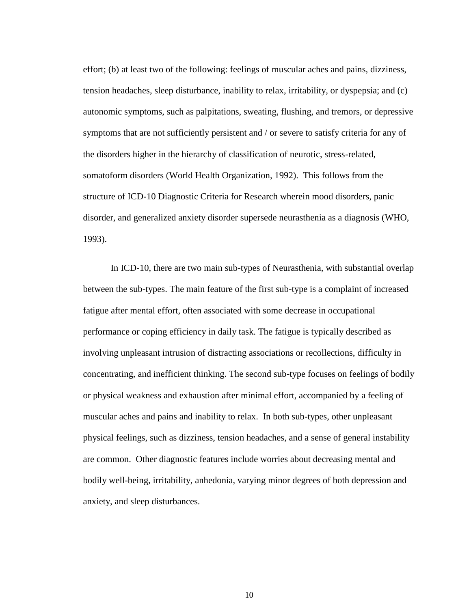effort; (b) at least two of the following: feelings of muscular aches and pains, dizziness, tension headaches, sleep disturbance, inability to relax, irritability, or dyspepsia; and (c) autonomic symptoms, such as palpitations, sweating, flushing, and tremors, or depressive symptoms that are not sufficiently persistent and / or severe to satisfy criteria for any of the disorders higher in the hierarchy of classification of neurotic, stress-related, somatoform disorders (World Health Organization, 1992). This follows from the structure of ICD-10 Diagnostic Criteria for Research wherein mood disorders, panic disorder, and generalized anxiety disorder supersede neurasthenia as a diagnosis (WHO, 1993).

In ICD-10, there are two main sub-types of Neurasthenia, with substantial overlap between the sub-types. The main feature of the first sub-type is a complaint of increased fatigue after mental effort, often associated with some decrease in occupational performance or coping efficiency in daily task. The fatigue is typically described as involving unpleasant intrusion of distracting associations or recollections, difficulty in concentrating, and inefficient thinking. The second sub-type focuses on feelings of bodily or physical weakness and exhaustion after minimal effort, accompanied by a feeling of muscular aches and pains and inability to relax. In both sub-types, other unpleasant physical feelings, such as dizziness, tension headaches, and a sense of general instability are common. Other diagnostic features include worries about decreasing mental and bodily well-being, irritability, anhedonia, varying minor degrees of both depression and anxiety, and sleep disturbances.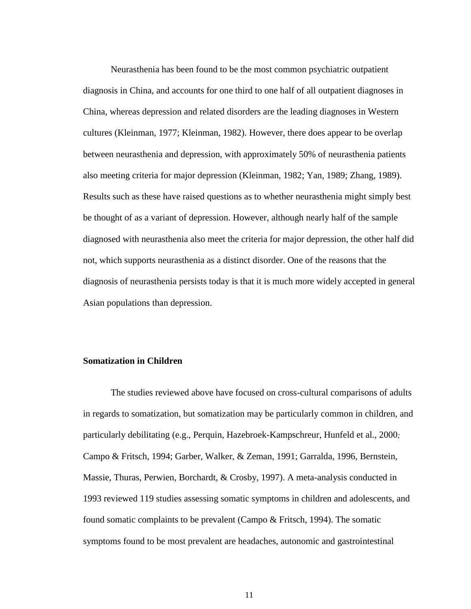Neurasthenia has been found to be the most common psychiatric outpatient diagnosis in China, and accounts for one third to one half of all outpatient diagnoses in China, whereas depression and related disorders are the leading diagnoses in Western cultures (Kleinman, 1977; Kleinman, 1982). However, there does appear to be overlap between neurasthenia and depression, with approximately 50% of neurasthenia patients also meeting criteria for major depression (Kleinman, 1982; Yan, 1989; Zhang, 1989). Results such as these have raised questions as to whether neurasthenia might simply best be thought of as a variant of depression. However, although nearly half of the sample diagnosed with neurasthenia also meet the criteria for major depression, the other half did not, which supports neurasthenia as a distinct disorder. One of the reasons that the diagnosis of neurasthenia persists today is that it is much more widely accepted in general Asian populations than depression.

# **Somatization in Children**

The studies reviewed above have focused on cross-cultural comparisons of adults in regards to somatization, but somatization may be particularly common in children, and particularly debilitating (e.g., Perquin, Hazebroek-Kampschreur, Hunfeld et al., 2000*;*  Campo & Fritsch, 1994; Garber, Walker, & Zeman, 1991; Garralda, 1996, Bernstein, Massie, Thuras, Perwien, Borchardt, & Crosby, 1997). A meta-analysis conducted in 1993 reviewed 119 studies assessing somatic symptoms in children and adolescents, and found somatic complaints to be prevalent (Campo & Fritsch, 1994). The somatic symptoms found to be most prevalent are headaches, autonomic and gastrointestinal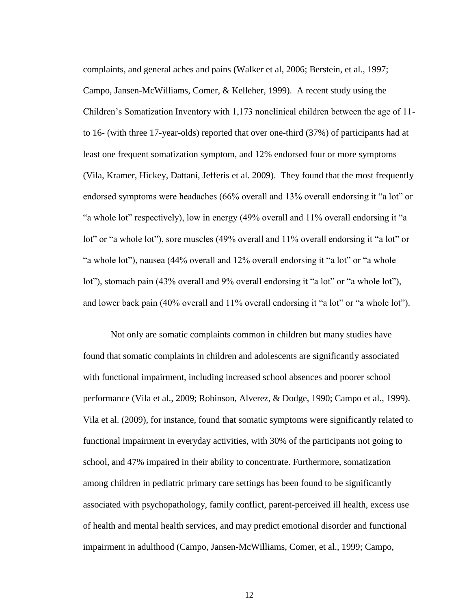complaints, and general aches and pains (Walker et al, 2006; Berstein, et al., 1997; Campo, Jansen-McWilliams, Comer, & Kelleher, 1999). A recent study using the Children"s Somatization Inventory with 1,173 nonclinical children between the age of 11 to 16- (with three 17-year-olds) reported that over one-third (37%) of participants had at least one frequent somatization symptom, and 12% endorsed four or more symptoms (Vila, Kramer, Hickey, Dattani, Jefferis et al. 2009). They found that the most frequently endorsed symptoms were headaches (66% overall and 13% overall endorsing it "a lot" or "a whole lot" respectively), low in energy (49% overall and 11% overall endorsing it "a lot" or "a whole lot"), sore muscles (49% overall and 11% overall endorsing it "a lot" or "a whole lot"), nausea (44% overall and 12% overall endorsing it "a lot" or "a whole lot"), stomach pain (43% overall and 9% overall endorsing it "a lot" or "a whole lot"), and lower back pain (40% overall and 11% overall endorsing it "a lot" or "a whole lot").

Not only are somatic complaints common in children but many studies have found that somatic complaints in children and adolescents are significantly associated with functional impairment, including increased school absences and poorer school performance (Vila et al., 2009; Robinson, Alverez, & Dodge, 1990; Campo et al., 1999). Vila et al. (2009), for instance, found that somatic symptoms were significantly related to functional impairment in everyday activities, with 30% of the participants not going to school, and 47% impaired in their ability to concentrate. Furthermore, somatization among children in pediatric primary care settings has been found to be significantly associated with psychopathology, family conflict, parent-perceived ill health, excess use of health and mental health services, and may predict emotional disorder and functional impairment in adulthood (Campo, Jansen-McWilliams, Comer, et al., 1999; Campo,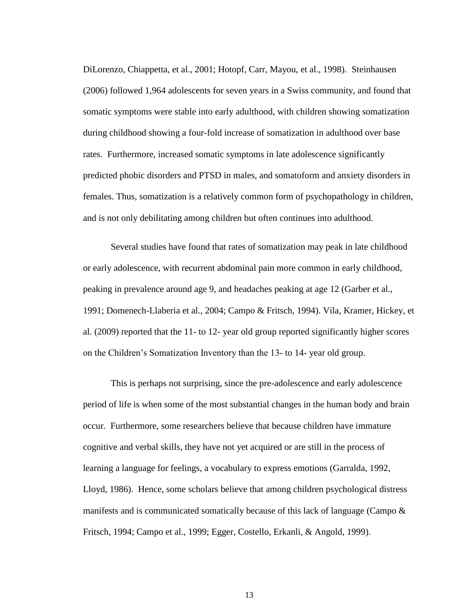DiLorenzo, Chiappetta, et al., 2001; Hotopf, Carr, Mayou, et al., 1998). Steinhausen (2006) followed 1,964 adolescents for seven years in a Swiss community, and found that somatic symptoms were stable into early adulthood, with children showing somatization during childhood showing a four-fold increase of somatization in adulthood over base rates. Furthermore, increased somatic symptoms in late adolescence significantly predicted phobic disorders and PTSD in males, and somatoform and anxiety disorders in females. Thus, somatization is a relatively common form of psychopathology in children, and is not only debilitating among children but often continues into adulthood.

Several studies have found that rates of somatization may peak in late childhood or early adolescence, with recurrent abdominal pain more common in early childhood, peaking in prevalence around age 9, and headaches peaking at age 12 (Garber et al., 1991; Domenech-Llaberia et al., 2004; Campo & Fritsch, 1994). Vila, Kramer, Hickey, et al. (2009) reported that the 11- to 12- year old group reported significantly higher scores on the Children"s Somatization Inventory than the 13- to 14- year old group.

This is perhaps not surprising, since the pre-adolescence and early adolescence period of life is when some of the most substantial changes in the human body and brain occur. Furthermore, some researchers believe that because children have immature cognitive and verbal skills, they have not yet acquired or are still in the process of learning a language for feelings, a vocabulary to express emotions (Garralda, 1992, Lloyd, 1986). Hence, some scholars believe that among children psychological distress manifests and is communicated somatically because of this lack of language (Campo  $\&$ Fritsch, 1994; Campo et al., 1999; Egger, Costello, Erkanli, & Angold, 1999).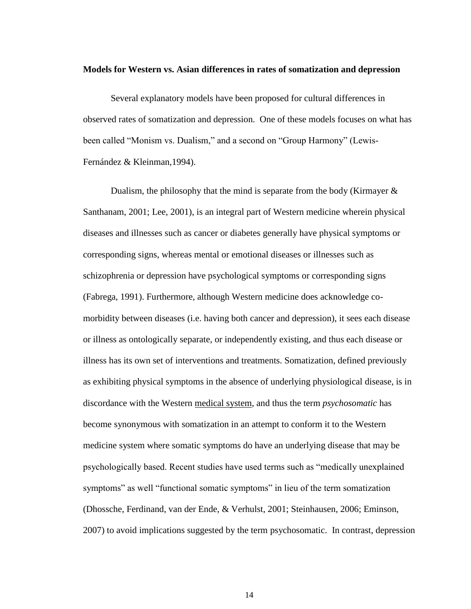#### **Models for Western vs. Asian differences in rates of somatization and depression**

Several explanatory models have been proposed for cultural differences in observed rates of somatization and depression. One of these models focuses on what has been called "Monism vs. Dualism," and a second on "Group Harmony" (Lewis-Fernández & Kleinman,1994).

Dualism, the philosophy that the mind is separate from the body (Kirmayer  $\&$ Santhanam, 2001; Lee, 2001), is an integral part of Western medicine wherein physical diseases and illnesses such as cancer or diabetes generally have physical symptoms or corresponding signs, whereas mental or emotional diseases or illnesses such as schizophrenia or depression have psychological symptoms or corresponding signs (Fabrega, 1991). Furthermore, although Western medicine does acknowledge comorbidity between diseases (i.e. having both cancer and depression), it sees each disease or illness as ontologically separate, or independently existing, and thus each disease or illness has its own set of interventions and treatments. Somatization, defined previously as exhibiting physical symptoms in the absence of underlying physiological disease, is in discordance with the Western medical system, and thus the term *psychosomatic* has become synonymous with somatization in an attempt to conform it to the Western medicine system where somatic symptoms do have an underlying disease that may be psychologically based. Recent studies have used terms such as "medically unexplained symptoms" as well "functional somatic symptoms" in lieu of the term somatization (Dhossche, Ferdinand, van der Ende, & Verhulst, 2001; Steinhausen, 2006; Eminson, 2007) to avoid implications suggested by the term psychosomatic. In contrast, depression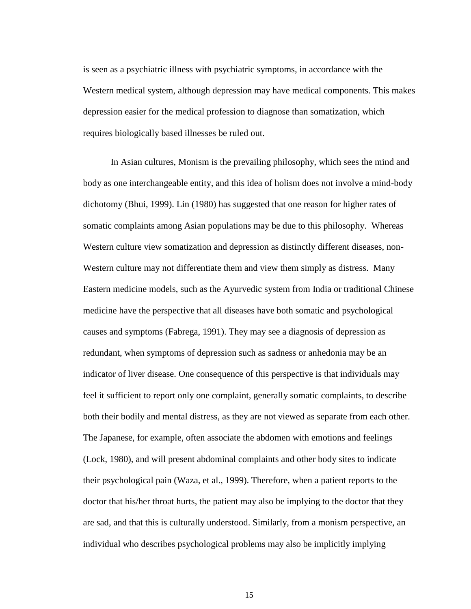is seen as a psychiatric illness with psychiatric symptoms, in accordance with the Western medical system, although depression may have medical components. This makes depression easier for the medical profession to diagnose than somatization, which requires biologically based illnesses be ruled out.

In Asian cultures, Monism is the prevailing philosophy, which sees the mind and body as one interchangeable entity, and this idea of holism does not involve a mind-body dichotomy (Bhui, 1999). Lin (1980) has suggested that one reason for higher rates of somatic complaints among Asian populations may be due to this philosophy. Whereas Western culture view somatization and depression as distinctly different diseases, non-Western culture may not differentiate them and view them simply as distress. Many Eastern medicine models, such as the Ayurvedic system from India or traditional Chinese medicine have the perspective that all diseases have both somatic and psychological causes and symptoms (Fabrega, 1991). They may see a diagnosis of depression as redundant, when symptoms of depression such as sadness or anhedonia may be an indicator of liver disease. One consequence of this perspective is that individuals may feel it sufficient to report only one complaint, generally somatic complaints, to describe both their bodily and mental distress, as they are not viewed as separate from each other. The Japanese, for example, often associate the abdomen with emotions and feelings (Lock, 1980), and will present abdominal complaints and other body sites to indicate their psychological pain (Waza, et al., 1999). Therefore, when a patient reports to the doctor that his/her throat hurts, the patient may also be implying to the doctor that they are sad, and that this is culturally understood. Similarly, from a monism perspective, an individual who describes psychological problems may also be implicitly implying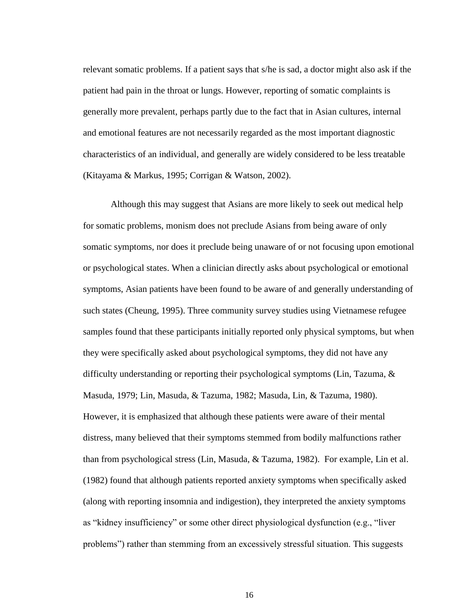relevant somatic problems. If a patient says that s/he is sad, a doctor might also ask if the patient had pain in the throat or lungs. However, reporting of somatic complaints is generally more prevalent, perhaps partly due to the fact that in Asian cultures, internal and emotional features are not necessarily regarded as the most important diagnostic characteristics of an individual, and generally are widely considered to be less treatable (Kitayama & Markus, 1995; Corrigan & Watson, 2002).

Although this may suggest that Asians are more likely to seek out medical help for somatic problems, monism does not preclude Asians from being aware of only somatic symptoms, nor does it preclude being unaware of or not focusing upon emotional or psychological states. When a clinician directly asks about psychological or emotional symptoms, Asian patients have been found to be aware of and generally understanding of such states (Cheung, 1995). Three community survey studies using Vietnamese refugee samples found that these participants initially reported only physical symptoms, but when they were specifically asked about psychological symptoms, they did not have any difficulty understanding or reporting their psychological symptoms (Lin, Tazuma, & Masuda, 1979; Lin, Masuda, & Tazuma, 1982; Masuda, Lin, & Tazuma, 1980). However, it is emphasized that although these patients were aware of their mental distress, many believed that their symptoms stemmed from bodily malfunctions rather than from psychological stress (Lin, Masuda, & Tazuma, 1982). For example, Lin et al. (1982) found that although patients reported anxiety symptoms when specifically asked (along with reporting insomnia and indigestion), they interpreted the anxiety symptoms as "kidney insufficiency" or some other direct physiological dysfunction (e.g., "liver problems") rather than stemming from an excessively stressful situation. This suggests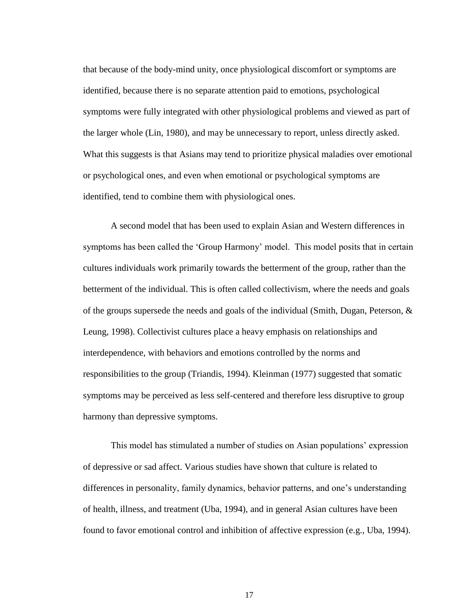that because of the body-mind unity, once physiological discomfort or symptoms are identified, because there is no separate attention paid to emotions, psychological symptoms were fully integrated with other physiological problems and viewed as part of the larger whole (Lin, 1980), and may be unnecessary to report, unless directly asked. What this suggests is that Asians may tend to prioritize physical maladies over emotional or psychological ones, and even when emotional or psychological symptoms are identified, tend to combine them with physiological ones.

A second model that has been used to explain Asian and Western differences in symptoms has been called the 'Group Harmony' model. This model posits that in certain cultures individuals work primarily towards the betterment of the group, rather than the betterment of the individual. This is often called collectivism, where the needs and goals of the groups supersede the needs and goals of the individual (Smith, Dugan, Peterson,  $\&$ Leung, 1998). Collectivist cultures place a heavy emphasis on relationships and interdependence, with behaviors and emotions controlled by the norms and responsibilities to the group (Triandis, 1994). Kleinman (1977) suggested that somatic symptoms may be perceived as less self-centered and therefore less disruptive to group harmony than depressive symptoms.

This model has stimulated a number of studies on Asian populations" expression of depressive or sad affect. Various studies have shown that culture is related to differences in personality, family dynamics, behavior patterns, and one"s understanding of health, illness, and treatment (Uba, 1994), and in general Asian cultures have been found to favor emotional control and inhibition of affective expression (e.g., Uba, 1994).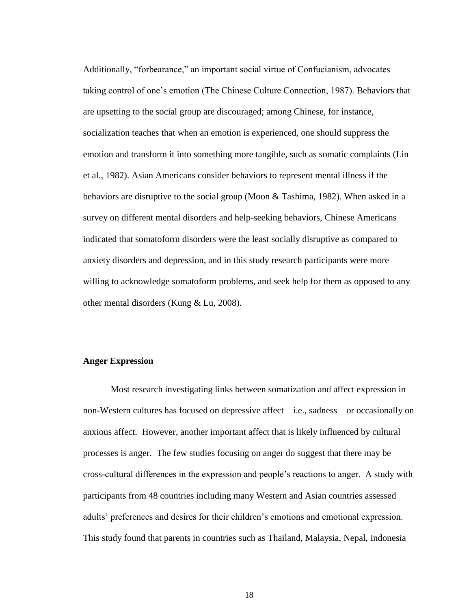Additionally, "forbearance," an important social virtue of Confucianism, advocates taking control of one"s emotion (The Chinese Culture Connection, 1987). Behaviors that are upsetting to the social group are discouraged; among Chinese, for instance, socialization teaches that when an emotion is experienced, one should suppress the emotion and transform it into something more tangible, such as somatic complaints (Lin et al., 1982). Asian Americans consider behaviors to represent mental illness if the behaviors are disruptive to the social group (Moon & Tashima, 1982). When asked in a survey on different mental disorders and help-seeking behaviors, Chinese Americans indicated that somatoform disorders were the least socially disruptive as compared to anxiety disorders and depression, and in this study research participants were more willing to acknowledge somatoform problems, and seek help for them as opposed to any other mental disorders (Kung & Lu, 2008).

#### **Anger Expression**

Most research investigating links between somatization and affect expression in non-Western cultures has focused on depressive affect – i.e., sadness – or occasionally on anxious affect. However, another important affect that is likely influenced by cultural processes is anger. The few studies focusing on anger do suggest that there may be cross-cultural differences in the expression and people"s reactions to anger. A study with participants from 48 countries including many Western and Asian countries assessed adults" preferences and desires for their children"s emotions and emotional expression. This study found that parents in countries such as Thailand, Malaysia, Nepal, Indonesia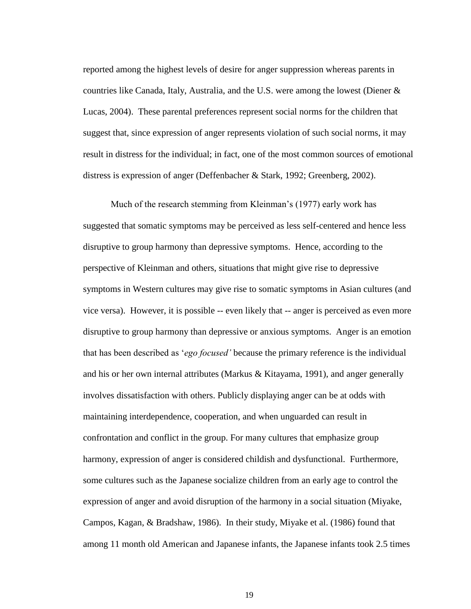reported among the highest levels of desire for anger suppression whereas parents in countries like Canada, Italy, Australia, and the U.S. were among the lowest (Diener  $\&$ Lucas, 2004). These parental preferences represent social norms for the children that suggest that, since expression of anger represents violation of such social norms, it may result in distress for the individual; in fact, one of the most common sources of emotional distress is expression of anger (Deffenbacher & Stark, 1992; Greenberg, 2002).

Much of the research stemming from Kleinman"s (1977) early work has suggested that somatic symptoms may be perceived as less self-centered and hence less disruptive to group harmony than depressive symptoms. Hence, according to the perspective of Kleinman and others, situations that might give rise to depressive symptoms in Western cultures may give rise to somatic symptoms in Asian cultures (and vice versa). However, it is possible -- even likely that -- anger is perceived as even more disruptive to group harmony than depressive or anxious symptoms. Anger is an emotion that has been described as "*ego focused'* because the primary reference is the individual and his or her own internal attributes (Markus  $\&$  Kitayama, 1991), and anger generally involves dissatisfaction with others. Publicly displaying anger can be at odds with maintaining interdependence, cooperation, and when unguarded can result in confrontation and conflict in the group. For many cultures that emphasize group harmony, expression of anger is considered childish and dysfunctional. Furthermore, some cultures such as the Japanese socialize children from an early age to control the expression of anger and avoid disruption of the harmony in a social situation (Miyake, Campos, Kagan, & Bradshaw, 1986). In their study, Miyake et al. (1986) found that among 11 month old American and Japanese infants, the Japanese infants took 2.5 times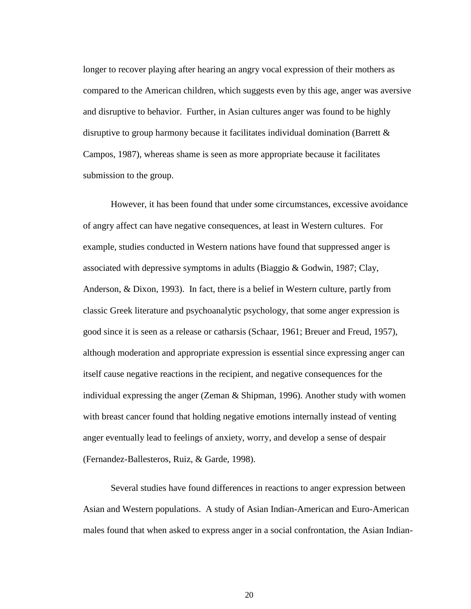longer to recover playing after hearing an angry vocal expression of their mothers as compared to the American children, which suggests even by this age, anger was aversive and disruptive to behavior. Further, in Asian cultures anger was found to be highly disruptive to group harmony because it facilitates individual domination (Barrett & Campos, 1987), whereas shame is seen as more appropriate because it facilitates submission to the group.

However, it has been found that under some circumstances, excessive avoidance of angry affect can have negative consequences, at least in Western cultures. For example, studies conducted in Western nations have found that suppressed anger is associated with depressive symptoms in adults (Biaggio & Godwin, 1987; Clay, Anderson, & Dixon, 1993). In fact, there is a belief in Western culture, partly from classic Greek literature and psychoanalytic psychology, that some anger expression is good since it is seen as a release or catharsis (Schaar, 1961; Breuer and Freud, 1957), although moderation and appropriate expression is essential since expressing anger can itself cause negative reactions in the recipient, and negative consequences for the individual expressing the anger (Zeman  $&$  Shipman, 1996). Another study with women with breast cancer found that holding negative emotions internally instead of venting anger eventually lead to feelings of anxiety, worry, and develop a sense of despair (Fernandez-Ballesteros, Ruiz, & Garde, 1998).

Several studies have found differences in reactions to anger expression between Asian and Western populations. A study of Asian Indian-American and Euro-American males found that when asked to express anger in a social confrontation, the Asian Indian-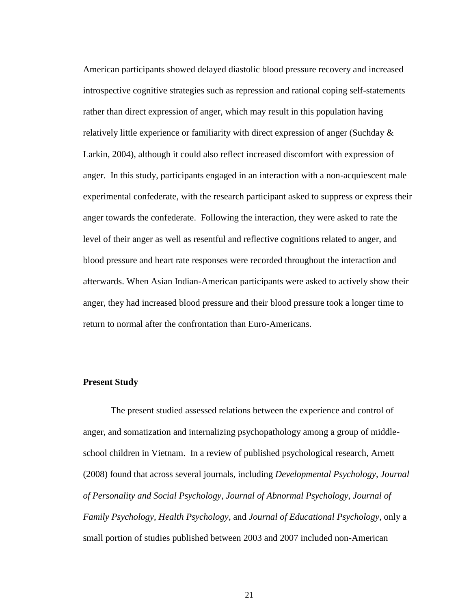American participants showed delayed diastolic blood pressure recovery and increased introspective cognitive strategies such as repression and rational coping self-statements rather than direct expression of anger, which may result in this population having relatively little experience or familiarity with direct expression of anger (Suchday  $\&$ Larkin, 2004), although it could also reflect increased discomfort with expression of anger. In this study, participants engaged in an interaction with a non-acquiescent male experimental confederate, with the research participant asked to suppress or express their anger towards the confederate. Following the interaction, they were asked to rate the level of their anger as well as resentful and reflective cognitions related to anger, and blood pressure and heart rate responses were recorded throughout the interaction and afterwards. When Asian Indian-American participants were asked to actively show their anger, they had increased blood pressure and their blood pressure took a longer time to return to normal after the confrontation than Euro-Americans.

#### **Present Study**

The present studied assessed relations between the experience and control of anger, and somatization and internalizing psychopathology among a group of middleschool children in Vietnam. In a review of published psychological research, Arnett (2008) found that across several journals, including *Developmental Psychology*, *Journal of Personality and Social Psychology*, *Journal of Abnormal Psychology*, *Journal of Family Psychology*, *Health Psychology*, and *Journal of Educational Psychology*, only a small portion of studies published between 2003 and 2007 included non-American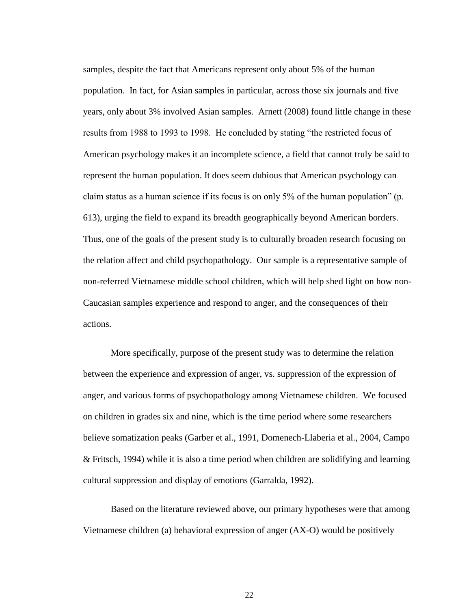samples, despite the fact that Americans represent only about 5% of the human population. In fact, for Asian samples in particular, across those six journals and five years, only about 3% involved Asian samples. Arnett (2008) found little change in these results from 1988 to 1993 to 1998. He concluded by stating "the restricted focus of American psychology makes it an incomplete science, a field that cannot truly be said to represent the human population. It does seem dubious that American psychology can claim status as a human science if its focus is on only 5% of the human population" (p. 613), urging the field to expand its breadth geographically beyond American borders. Thus, one of the goals of the present study is to culturally broaden research focusing on the relation affect and child psychopathology. Our sample is a representative sample of non-referred Vietnamese middle school children, which will help shed light on how non-Caucasian samples experience and respond to anger, and the consequences of their actions.

More specifically, purpose of the present study was to determine the relation between the experience and expression of anger, vs. suppression of the expression of anger, and various forms of psychopathology among Vietnamese children. We focused on children in grades six and nine, which is the time period where some researchers believe somatization peaks (Garber et al., 1991, Domenech-Llaberia et al., 2004, Campo & Fritsch, 1994) while it is also a time period when children are solidifying and learning cultural suppression and display of emotions (Garralda, 1992).

Based on the literature reviewed above, our primary hypotheses were that among Vietnamese children (a) behavioral expression of anger (AX-O) would be positively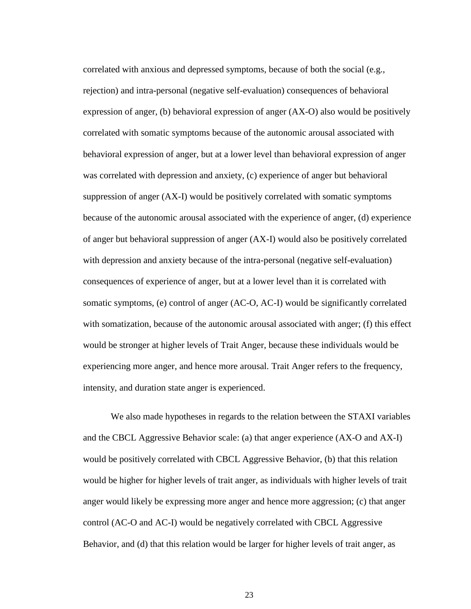correlated with anxious and depressed symptoms, because of both the social (e.g., rejection) and intra-personal (negative self-evaluation) consequences of behavioral expression of anger, (b) behavioral expression of anger (AX-O) also would be positively correlated with somatic symptoms because of the autonomic arousal associated with behavioral expression of anger, but at a lower level than behavioral expression of anger was correlated with depression and anxiety, (c) experience of anger but behavioral suppression of anger (AX-I) would be positively correlated with somatic symptoms because of the autonomic arousal associated with the experience of anger, (d) experience of anger but behavioral suppression of anger (AX-I) would also be positively correlated with depression and anxiety because of the intra-personal (negative self-evaluation) consequences of experience of anger, but at a lower level than it is correlated with somatic symptoms, (e) control of anger (AC-O, AC-I) would be significantly correlated with somatization, because of the autonomic arousal associated with anger; (f) this effect would be stronger at higher levels of Trait Anger, because these individuals would be experiencing more anger, and hence more arousal. Trait Anger refers to the frequency, intensity, and duration state anger is experienced.

We also made hypotheses in regards to the relation between the STAXI variables and the CBCL Aggressive Behavior scale: (a) that anger experience (AX-O and AX-I) would be positively correlated with CBCL Aggressive Behavior, (b) that this relation would be higher for higher levels of trait anger, as individuals with higher levels of trait anger would likely be expressing more anger and hence more aggression; (c) that anger control (AC-O and AC-I) would be negatively correlated with CBCL Aggressive Behavior, and (d) that this relation would be larger for higher levels of trait anger, as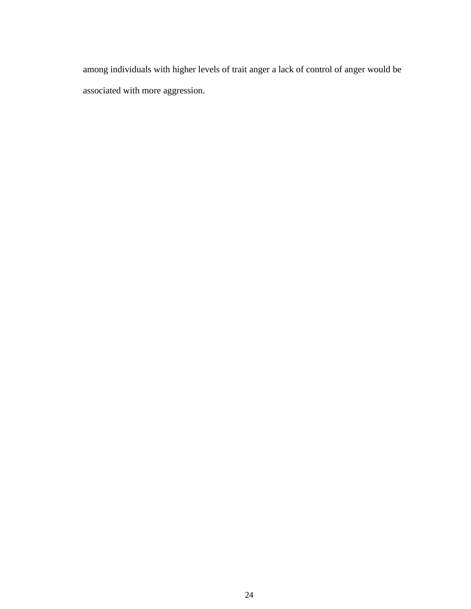among individuals with higher levels of trait anger a lack of control of anger would be associated with more aggression.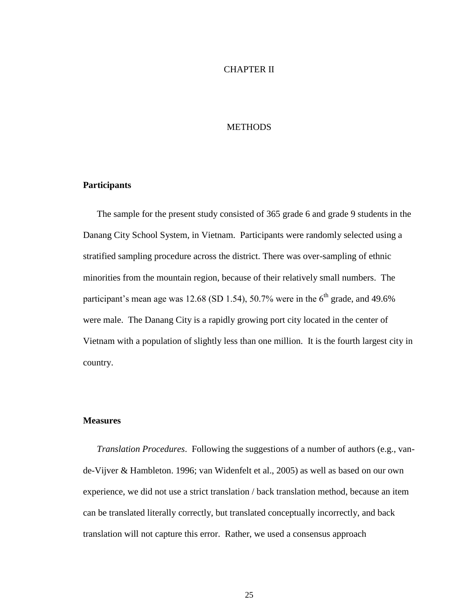#### CHAPTER II

# **METHODS**

#### **Participants**

The sample for the present study consisted of 365 grade 6 and grade 9 students in the Danang City School System, in Vietnam. Participants were randomly selected using a stratified sampling procedure across the district. There was over-sampling of ethnic minorities from the mountain region, because of their relatively small numbers. The participant's mean age was 12.68 (SD 1.54), 50.7% were in the  $6<sup>th</sup>$  grade, and 49.6% were male. The Danang City is a rapidly growing port city located in the center of Vietnam with a population of slightly less than one million. It is the fourth largest city in country.

#### **Measures**

*Translation Procedures*. Following the suggestions of a number of authors (e.g., vande-Vijver & Hambleton. 1996; van Widenfelt et al., 2005) as well as based on our own experience, we did not use a strict translation / back translation method, because an item can be translated literally correctly, but translated conceptually incorrectly, and back translation will not capture this error. Rather, we used a consensus approach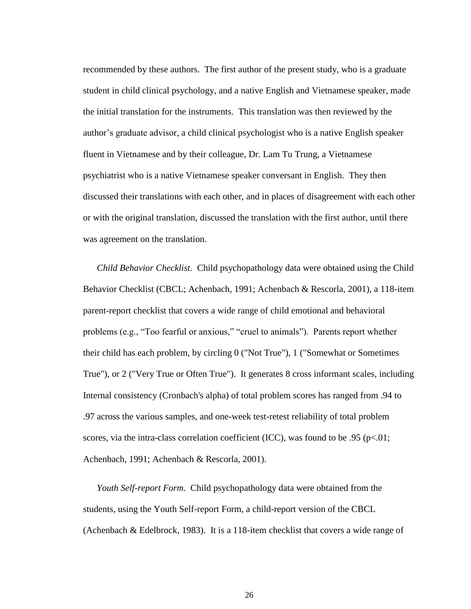recommended by these authors. The first author of the present study, who is a graduate student in child clinical psychology, and a native English and Vietnamese speaker, made the initial translation for the instruments. This translation was then reviewed by the author"s graduate advisor, a child clinical psychologist who is a native English speaker fluent in Vietnamese and by their colleague, Dr. Lam Tu Trung, a Vietnamese psychiatrist who is a native Vietnamese speaker conversant in English. They then discussed their translations with each other, and in places of disagreement with each other or with the original translation, discussed the translation with the first author, until there was agreement on the translation.

*Child Behavior Checklist.* Child psychopathology data were obtained using the Child Behavior Checklist (CBCL; Achenbach, 1991; Achenbach & Rescorla, 2001), a 118-item parent-report checklist that covers a wide range of child emotional and behavioral problems (e.g., "Too fearful or anxious," "cruel to animals"). Parents report whether their child has each problem, by circling 0 ("Not True"), 1 ("Somewhat or Sometimes True"), or 2 ("Very True or Often True"). It generates 8 cross informant scales, including Internal consistency (Cronbach's alpha) of total problem scores has ranged from .94 to .97 across the various samples, and one-week test-retest reliability of total problem scores, via the intra-class correlation coefficient (ICC), was found to be .95 ( $p<.01$ ; Achenbach, 1991; Achenbach & Rescorla, 2001).

*Youth Self-report Form.* Child psychopathology data were obtained from the students, using the Youth Self-report Form, a child-report version of the CBCL (Achenbach & Edelbrock, 1983). It is a 118-item checklist that covers a wide range of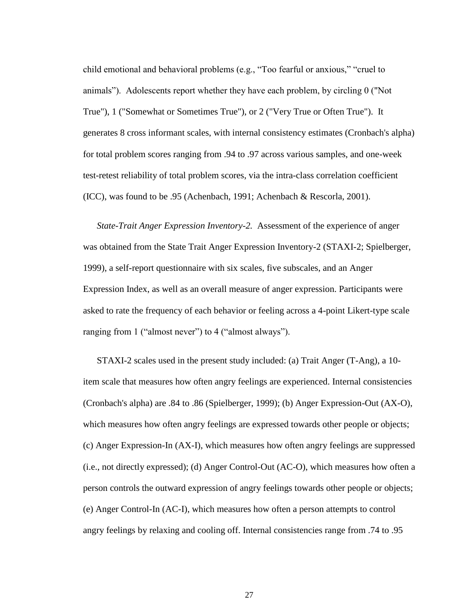child emotional and behavioral problems (e.g., "Too fearful or anxious," "cruel to animals"). Adolescents report whether they have each problem, by circling 0 ("Not True"), 1 ("Somewhat or Sometimes True"), or 2 ("Very True or Often True"). It generates 8 cross informant scales, with internal consistency estimates (Cronbach's alpha) for total problem scores ranging from .94 to .97 across various samples, and one-week test-retest reliability of total problem scores, via the intra-class correlation coefficient (ICC), was found to be .95 (Achenbach, 1991; Achenbach & Rescorla, 2001).

*State-Trait Anger Expression Inventory-2.* Assessment of the experience of anger was obtained from the State Trait Anger Expression Inventory-2 (STAXI-2; Spielberger, 1999), a self-report questionnaire with six scales, five subscales, and an Anger Expression Index, as well as an overall measure of anger expression. Participants were asked to rate the frequency of each behavior or feeling across a 4-point Likert-type scale ranging from 1 ("almost never") to 4 ("almost always").

STAXI-2 scales used in the present study included: (a) Trait Anger (T-Ang), a 10 item scale that measures how often angry feelings are experienced. Internal consistencies (Cronbach's alpha) are .84 to .86 (Spielberger, 1999); (b) Anger Expression-Out (AX-O), which measures how often angry feelings are expressed towards other people or objects; (c) Anger Expression-In (AX-I), which measures how often angry feelings are suppressed (i.e., not directly expressed); (d) Anger Control-Out (AC-O), which measures how often a person controls the outward expression of angry feelings towards other people or objects; (e) Anger Control-In (AC-I), which measures how often a person attempts to control angry feelings by relaxing and cooling off. Internal consistencies range from .74 to .95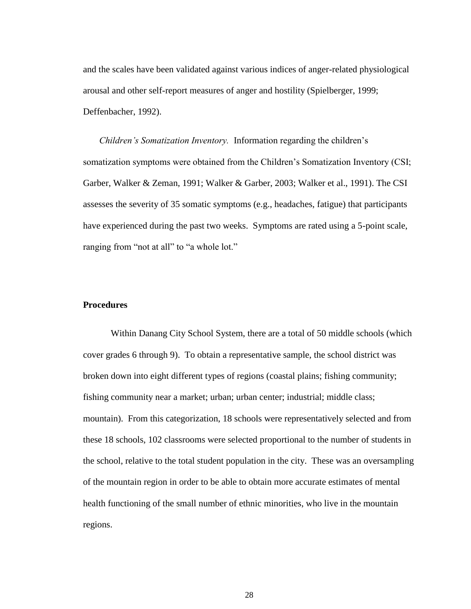and the scales have been validated against various indices of anger-related physiological arousal and other self-report measures of anger and hostility (Spielberger, 1999; Deffenbacher, 1992).

*Children's Somatization Inventory.* Information regarding the children"s somatization symptoms were obtained from the Children"s Somatization Inventory (CSI; Garber, Walker & Zeman, 1991; Walker & Garber, 2003; Walker et al., 1991). The CSI assesses the severity of 35 somatic symptoms (e.g., headaches, fatigue) that participants have experienced during the past two weeks. Symptoms are rated using a 5-point scale, ranging from "not at all" to "a whole lot."

# **Procedures**

Within Danang City School System, there are a total of 50 middle schools (which cover grades 6 through 9). To obtain a representative sample, the school district was broken down into eight different types of regions (coastal plains; fishing community; fishing community near a market; urban; urban center; industrial; middle class; mountain). From this categorization, 18 schools were representatively selected and from these 18 schools, 102 classrooms were selected proportional to the number of students in the school, relative to the total student population in the city. These was an oversampling of the mountain region in order to be able to obtain more accurate estimates of mental health functioning of the small number of ethnic minorities, who live in the mountain regions.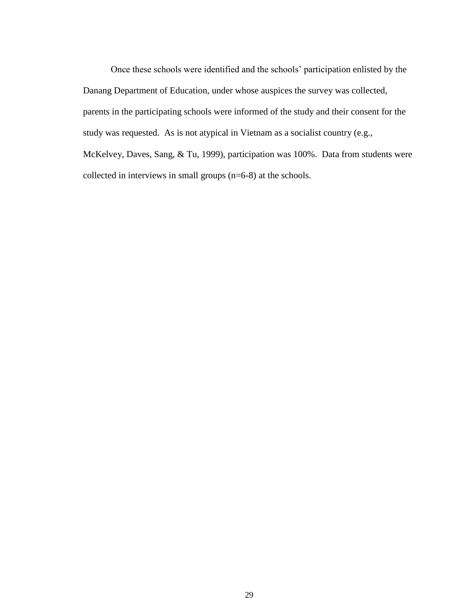Once these schools were identified and the schools" participation enlisted by the Danang Department of Education, under whose auspices the survey was collected, parents in the participating schools were informed of the study and their consent for the study was requested. As is not atypical in Vietnam as a socialist country (e.g., McKelvey, Daves, Sang, & Tu, 1999), participation was 100%. Data from students were collected in interviews in small groups (n=6-8) at the schools.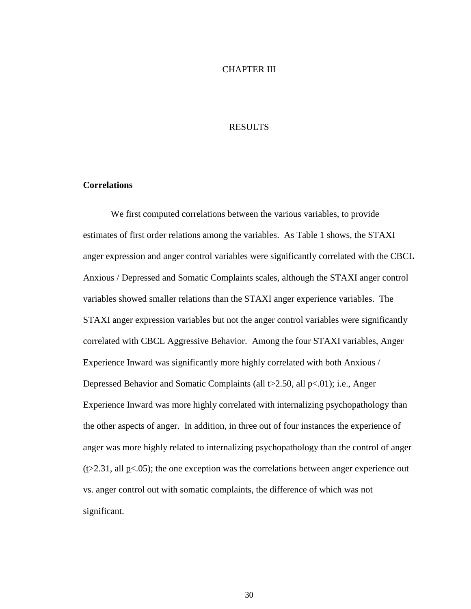#### CHAPTER III

#### RESULTS

#### **Correlations**

We first computed correlations between the various variables, to provide estimates of first order relations among the variables. As Table 1 shows, the STAXI anger expression and anger control variables were significantly correlated with the CBCL Anxious / Depressed and Somatic Complaints scales, although the STAXI anger control variables showed smaller relations than the STAXI anger experience variables. The STAXI anger expression variables but not the anger control variables were significantly correlated with CBCL Aggressive Behavior. Among the four STAXI variables, Anger Experience Inward was significantly more highly correlated with both Anxious / Depressed Behavior and Somatic Complaints (all  $\text{\textsterling}2.50$ , all  $\text{\textsterling}5(01)$ ; i.e., Anger Experience Inward was more highly correlated with internalizing psychopathology than the other aspects of anger. In addition, in three out of four instances the experience of anger was more highly related to internalizing psychopathology than the control of anger  $(\ge 2.31, \text{ all } p<.05)$ ; the one exception was the correlations between anger experience out vs. anger control out with somatic complaints, the difference of which was not significant.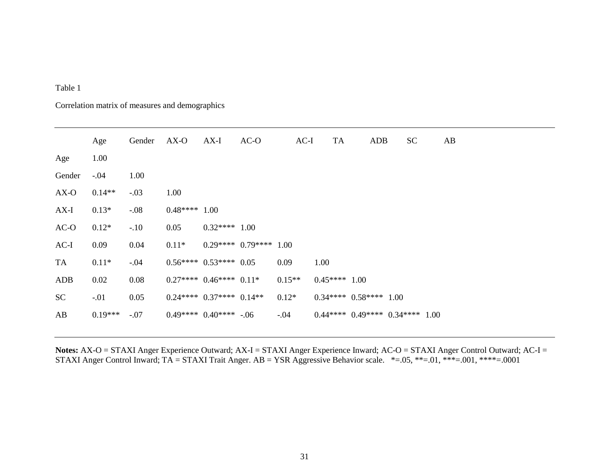# Table 1

# Correlation matrix of measures and demographics

|        | Age       | Gender | $AX-O$         | AX-I                     | $AC-O$ | $AC-I$   | <b>TA</b>     | ADB                            | <b>SC</b> | AB |  |
|--------|-----------|--------|----------------|--------------------------|--------|----------|---------------|--------------------------------|-----------|----|--|
| Age    | 1.00      |        |                |                          |        |          |               |                                |           |    |  |
| Gender | $-.04$    | 1.00   |                |                          |        |          |               |                                |           |    |  |
| AX-O   | $0.14**$  | $-.03$ | 1.00           |                          |        |          |               |                                |           |    |  |
| $AX-I$ | $0.13*$   | $-.08$ | $0.48***$ 1.00 |                          |        |          |               |                                |           |    |  |
| $AC-O$ | $0.12*$   | $-.10$ | 0.05           | $0.32****1.00$           |        |          |               |                                |           |    |  |
| $AC-I$ | 0.09      | 0.04   | $0.11*$        | $0.29****0.79****1.00$   |        |          |               |                                |           |    |  |
| TA     | $0.11*$   | $-.04$ |                | $0.56**** 0.53**** 0.05$ |        | 0.09     | 1.00          |                                |           |    |  |
| ADB    | 0.02      | 0.08   |                | $0.27****0.46****0.11*$  |        | $0.15**$ | $0.45***1.00$ |                                |           |    |  |
| SC     | $-.01$    | 0.05   |                | $0.24****0.37****0.14**$ |        | $0.12*$  |               | $0.34****0.58****1.00$         |           |    |  |
| AB     | $0.19***$ | $-.07$ |                | $0.49****0.40****-.06$   |        | $-.04$   |               | $0.44****0.49****0.34****1.00$ |           |    |  |
|        |           |        |                |                          |        |          |               |                                |           |    |  |

Notes: AX-O = STAXI Anger Experience Outward; AX-I = STAXI Anger Experience Inward; AC-O = STAXI Anger Control Outward; AC-I = STAXI Anger Control Inward;  $TA = STAXI$  Trait Anger.  $AB = YSR$  Aggressive Behavior scale. \*=.05, \*\*=.01, \*\*\*=.001, \*\*\*\*=.0001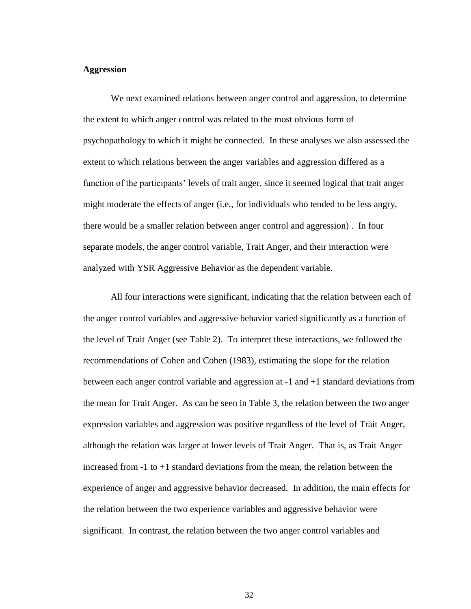## **Aggression**

We next examined relations between anger control and aggression, to determine the extent to which anger control was related to the most obvious form of psychopathology to which it might be connected. In these analyses we also assessed the extent to which relations between the anger variables and aggression differed as a function of the participants' levels of trait anger, since it seemed logical that trait anger might moderate the effects of anger (i.e., for individuals who tended to be less angry, there would be a smaller relation between anger control and aggression) . In four separate models, the anger control variable, Trait Anger, and their interaction were analyzed with YSR Aggressive Behavior as the dependent variable.

All four interactions were significant, indicating that the relation between each of the anger control variables and aggressive behavior varied significantly as a function of the level of Trait Anger (see Table 2). To interpret these interactions, we followed the recommendations of Cohen and Cohen (1983), estimating the slope for the relation between each anger control variable and aggression at -1 and +1 standard deviations from the mean for Trait Anger. As can be seen in Table 3, the relation between the two anger expression variables and aggression was positive regardless of the level of Trait Anger, although the relation was larger at lower levels of Trait Anger. That is, as Trait Anger increased from -1 to +1 standard deviations from the mean, the relation between the experience of anger and aggressive behavior decreased. In addition, the main effects for the relation between the two experience variables and aggressive behavior were significant. In contrast, the relation between the two anger control variables and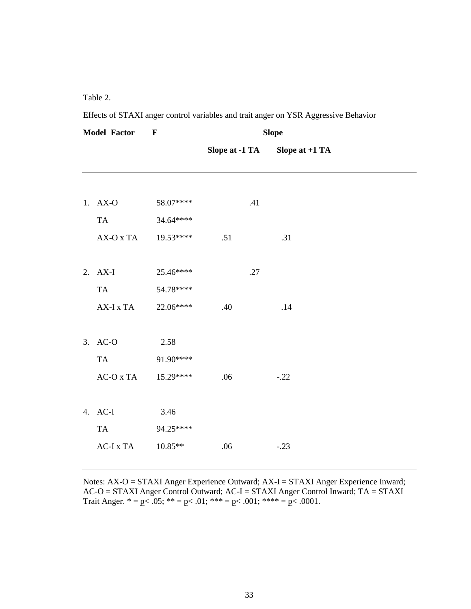Table 2.

Effects of STAXI anger control variables and trait anger on YSR Aggressive Behavior

| <b>Model Factor</b> |             | $\mathbf{F}$ | <b>Slope</b>   |                  |  |
|---------------------|-------------|--------------|----------------|------------------|--|
|                     |             |              | Slope at -1 TA | Slope at $+1$ TA |  |
|                     |             |              |                |                  |  |
|                     | 1. AX-O     | 58.07****    | .41            |                  |  |
|                     | <b>TA</b>   | 34.64****    |                |                  |  |
|                     | AX-O x TA   | 19.53****    | .51            | .31              |  |
|                     |             |              |                |                  |  |
|                     | 2. AX-I     | 25.46****    | .27            |                  |  |
|                     | <b>TA</b>   | 54.78****    |                |                  |  |
|                     | AX-I x TA   | 22.06****    | .40            | .14              |  |
|                     |             |              |                |                  |  |
|                     | 3. AC-O     | 2.58         |                |                  |  |
|                     | <b>TA</b>   | 91.90****    |                |                  |  |
|                     | $AC-O X TA$ | 15.29****    | .06            | $-.22$           |  |
|                     |             |              |                |                  |  |
|                     | 4. AC-I     | 3.46         |                |                  |  |
|                     | <b>TA</b>   | 94.25****    |                |                  |  |
|                     | AC-I x TA   | 10.85**      | .06            | $-.23$           |  |
|                     |             |              |                |                  |  |

Notes: AX-O = STAXI Anger Experience Outward; AX-I = STAXI Anger Experience Inward; AC-O = STAXI Anger Control Outward; AC-I = STAXI Anger Control Inward; TA = STAXI Trait Anger.  $* = p < .05$ ;  $** = p < .01$ ;  $*** = p < .001$ ;  $*** = p < .0001$ .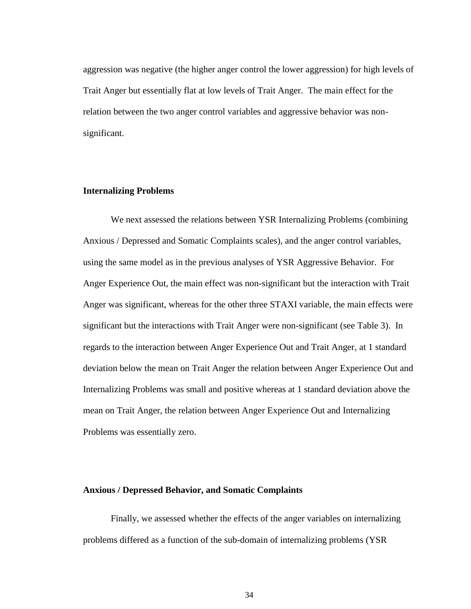aggression was negative (the higher anger control the lower aggression) for high levels of Trait Anger but essentially flat at low levels of Trait Anger. The main effect for the relation between the two anger control variables and aggressive behavior was nonsignificant.

### **Internalizing Problems**

We next assessed the relations between YSR Internalizing Problems (combining Anxious / Depressed and Somatic Complaints scales), and the anger control variables, using the same model as in the previous analyses of YSR Aggressive Behavior. For Anger Experience Out, the main effect was non-significant but the interaction with Trait Anger was significant, whereas for the other three STAXI variable, the main effects were significant but the interactions with Trait Anger were non-significant (see Table 3). In regards to the interaction between Anger Experience Out and Trait Anger, at 1 standard deviation below the mean on Trait Anger the relation between Anger Experience Out and Internalizing Problems was small and positive whereas at 1 standard deviation above the mean on Trait Anger, the relation between Anger Experience Out and Internalizing Problems was essentially zero.

### **Anxious / Depressed Behavior, and Somatic Complaints**

Finally, we assessed whether the effects of the anger variables on internalizing problems differed as a function of the sub-domain of internalizing problems (YSR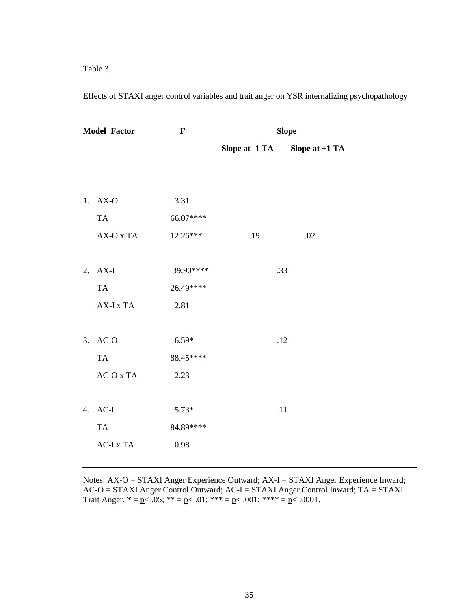Table 3.

Effects of STAXI anger control variables and trait anger on YSR internalizing psychopathology

| <b>Model Factor</b> |                                             | $\mathbf{F}$ | <b>Slope</b>   |     |                  |  |
|---------------------|---------------------------------------------|--------------|----------------|-----|------------------|--|
|                     |                                             |              | Slope at -1 TA |     | Slope at $+1$ TA |  |
|                     |                                             |              |                |     |                  |  |
|                     | 1. AX-O                                     | 3.31         |                |     |                  |  |
|                     | TA                                          | 66.07****    |                |     |                  |  |
|                     | AX-O x TA                                   | 12.26***     | .19            |     | .02              |  |
|                     |                                             |              |                |     |                  |  |
|                     | 2. AX-I                                     | 39.90****    |                | .33 |                  |  |
|                     | <b>TA</b>                                   | 26.49****    |                |     |                  |  |
|                     | $AX-I$ x $TA$                               | 2.81         |                |     |                  |  |
|                     |                                             |              |                |     |                  |  |
| 3.                  | $AC-O$                                      | $6.59*$      |                | .12 |                  |  |
|                     | TA                                          | 88.45****    |                |     |                  |  |
|                     | $AC-O$ x $TA$                               | 2.23         |                |     |                  |  |
|                     |                                             |              |                |     |                  |  |
|                     | 4. AC-I                                     | $5.73*$      |                | .11 |                  |  |
|                     | <b>TA</b>                                   | 84.89****    |                |     |                  |  |
|                     | $\operatorname{AC-I}$ x $\operatorname{TA}$ | 0.98         |                |     |                  |  |
|                     |                                             |              |                |     |                  |  |

Notes: AX-O = STAXI Anger Experience Outward; AX-I = STAXI Anger Experience Inward; AC-O = STAXI Anger Control Outward; AC-I = STAXI Anger Control Inward; TA = STAXI Trait Anger.  $* = p < .05$ ;  $** = p < .01$ ;  $*** = p < .001$ ;  $*** = p < .0001$ .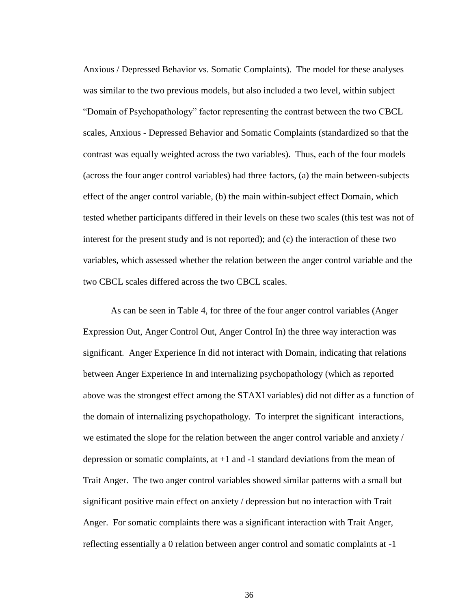Anxious / Depressed Behavior vs. Somatic Complaints). The model for these analyses was similar to the two previous models, but also included a two level, within subject "Domain of Psychopathology" factor representing the contrast between the two CBCL scales, Anxious - Depressed Behavior and Somatic Complaints (standardized so that the contrast was equally weighted across the two variables). Thus, each of the four models (across the four anger control variables) had three factors, (a) the main between-subjects effect of the anger control variable, (b) the main within-subject effect Domain, which tested whether participants differed in their levels on these two scales (this test was not of interest for the present study and is not reported); and (c) the interaction of these two variables, which assessed whether the relation between the anger control variable and the two CBCL scales differed across the two CBCL scales.

As can be seen in Table 4, for three of the four anger control variables (Anger Expression Out, Anger Control Out, Anger Control In) the three way interaction was significant. Anger Experience In did not interact with Domain, indicating that relations between Anger Experience In and internalizing psychopathology (which as reported above was the strongest effect among the STAXI variables) did not differ as a function of the domain of internalizing psychopathology. To interpret the significant interactions, we estimated the slope for the relation between the anger control variable and anxiety / depression or somatic complaints, at +1 and -1 standard deviations from the mean of Trait Anger. The two anger control variables showed similar patterns with a small but significant positive main effect on anxiety / depression but no interaction with Trait Anger. For somatic complaints there was a significant interaction with Trait Anger, reflecting essentially a 0 relation between anger control and somatic complaints at -1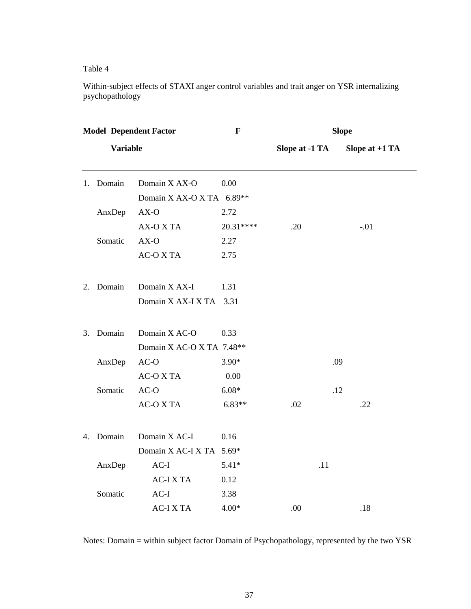Table 4

Within-subject effects of STAXI anger control variables and trait anger on YSR internalizing psychopathology

| <b>Model Dependent Factor</b> |         |                           | $\mathbf F$ | <b>Slope</b>   |                  |  |
|-------------------------------|---------|---------------------------|-------------|----------------|------------------|--|
| <b>Variable</b>               |         |                           |             | Slope at -1 TA | Slope at $+1$ TA |  |
| 1.                            | Domain  | Domain X AX-O             | 0.00        |                |                  |  |
|                               |         | Domain X AX-O X TA 6.89** |             |                |                  |  |
|                               | AnxDep  | $AX-O$                    | 2.72        |                |                  |  |
|                               |         | AX-O X TA                 | 20.31****   | .20            | $-.01$           |  |
|                               | Somatic | $AX-O$                    | 2.27        |                |                  |  |
|                               |         | <b>AC-O X TA</b>          | 2.75        |                |                  |  |
| 2.                            | Domain  | Domain X AX-I             | 1.31        |                |                  |  |
|                               |         | Domain X AX-I X TA 3.31   |             |                |                  |  |
| 3.                            | Domain  | Domain X AC-O             | 0.33        |                |                  |  |
|                               |         | Domain X AC-O X TA 7.48** |             |                |                  |  |
|                               | AnxDep  | $AC-O$                    | $3.90*$     |                | .09              |  |
|                               |         | <b>AC-O X TA</b>          | 0.00        |                |                  |  |
|                               | Somatic | $AC-O$                    | $6.08*$     |                | .12              |  |
|                               |         | <b>AC-O X TA</b>          | $6.83**$    | .02            | .22              |  |
| 4.                            | Domain  | Domain X AC-I             | 0.16        |                |                  |  |
|                               |         | Domain X AC-I X TA 5.69*  |             |                |                  |  |
|                               | AnxDep  | $AC-I$                    | $5.41*$     | .11            |                  |  |
|                               |         | <b>AC-IXTA</b>            | 0.12        |                |                  |  |
|                               | Somatic | $AC-I$                    | 3.38        |                |                  |  |
|                               |         | <b>AC-IXTA</b>            | $4.00*$     | .00            | .18              |  |

Notes: Domain = within subject factor Domain of Psychopathology, represented by the two YSR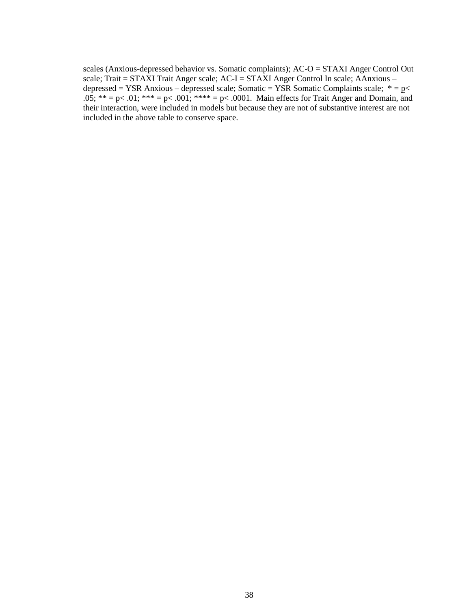scales (Anxious-depressed behavior vs. Somatic complaints); AC-O = STAXI Anger Control Out scale; Trait =  $STAXI$  Trait Anger scale;  $AC-I = STAXI$  Anger Control In scale; AAnxious – depressed = YSR Anxious – depressed scale; Somatic = YSR Somatic Complaints scale;  $* = p$ .05; \*\* = p< .01; \*\*\* = p< .001; \*\*\*\* = p< .0001. Main effects for Trait Anger and Domain, and their interaction, were included in models but because they are not of substantive interest are not included in the above table to conserve space.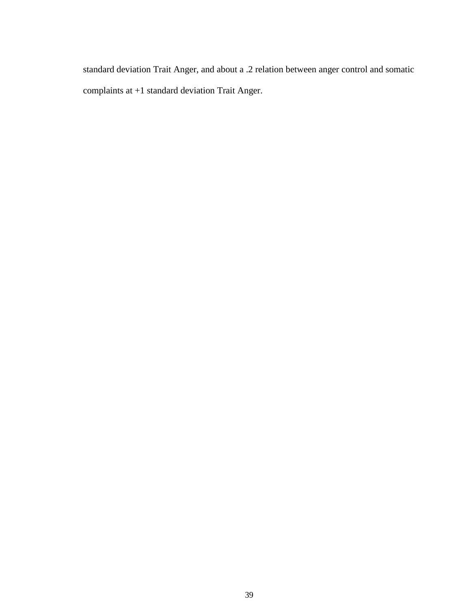standard deviation Trait Anger, and about a .2 relation between anger control and somatic complaints at +1 standard deviation Trait Anger.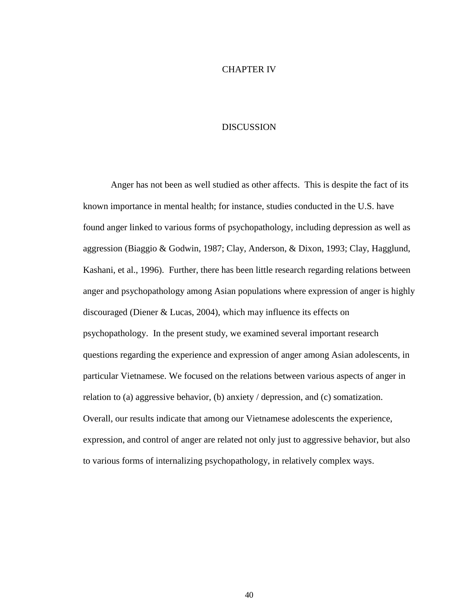### CHAPTER IV

# DISCUSSION

Anger has not been as well studied as other affects. This is despite the fact of its known importance in mental health; for instance, studies conducted in the U.S. have found anger linked to various forms of psychopathology, including depression as well as aggression (Biaggio & Godwin, 1987; Clay, Anderson, & Dixon, 1993; Clay, Hagglund, Kashani, et al., 1996). Further, there has been little research regarding relations between anger and psychopathology among Asian populations where expression of anger is highly discouraged (Diener & Lucas, 2004), which may influence its effects on psychopathology. In the present study, we examined several important research questions regarding the experience and expression of anger among Asian adolescents, in particular Vietnamese. We focused on the relations between various aspects of anger in relation to (a) aggressive behavior, (b) anxiety / depression, and (c) somatization. Overall, our results indicate that among our Vietnamese adolescents the experience, expression, and control of anger are related not only just to aggressive behavior, but also to various forms of internalizing psychopathology, in relatively complex ways.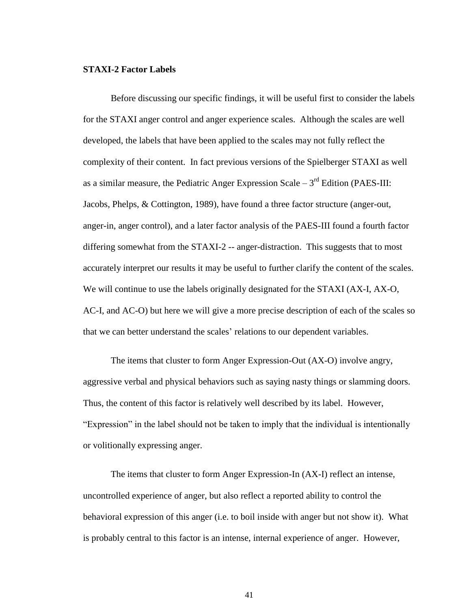### **STAXI-2 Factor Labels**

Before discussing our specific findings, it will be useful first to consider the labels for the STAXI anger control and anger experience scales. Although the scales are well developed, the labels that have been applied to the scales may not fully reflect the complexity of their content. In fact previous versions of the Spielberger STAXI as well as a similar measure, the Pediatric Anger Expression Scale  $-3<sup>rd</sup>$  Edition (PAES-III: Jacobs, Phelps, & Cottington, 1989), have found a three factor structure (anger-out, anger-in, anger control), and a later factor analysis of the PAES-III found a fourth factor differing somewhat from the STAXI-2 -- anger-distraction. This suggests that to most accurately interpret our results it may be useful to further clarify the content of the scales. We will continue to use the labels originally designated for the STAXI (AX-I, AX-O, AC-I, and AC-O) but here we will give a more precise description of each of the scales so that we can better understand the scales' relations to our dependent variables.

The items that cluster to form Anger Expression-Out (AX-O) involve angry, aggressive verbal and physical behaviors such as saying nasty things or slamming doors. Thus, the content of this factor is relatively well described by its label. However, "Expression" in the label should not be taken to imply that the individual is intentionally or volitionally expressing anger.

The items that cluster to form Anger Expression-In (AX-I) reflect an intense, uncontrolled experience of anger, but also reflect a reported ability to control the behavioral expression of this anger (i.e. to boil inside with anger but not show it). What is probably central to this factor is an intense, internal experience of anger. However,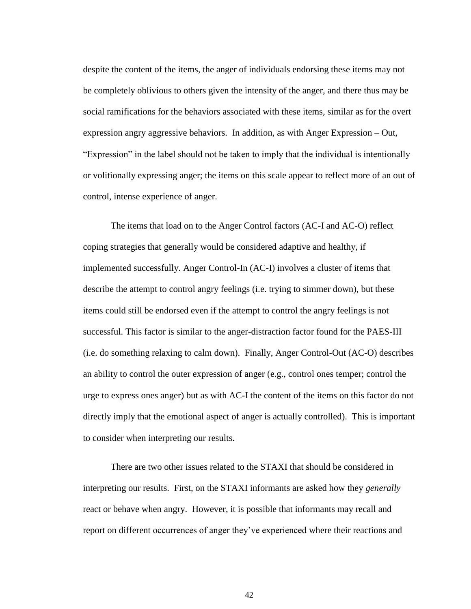despite the content of the items, the anger of individuals endorsing these items may not be completely oblivious to others given the intensity of the anger, and there thus may be social ramifications for the behaviors associated with these items, similar as for the overt expression angry aggressive behaviors. In addition, as with Anger Expression – Out, "Expression" in the label should not be taken to imply that the individual is intentionally or volitionally expressing anger; the items on this scale appear to reflect more of an out of control, intense experience of anger.

The items that load on to the Anger Control factors (AC-I and AC-O) reflect coping strategies that generally would be considered adaptive and healthy, if implemented successfully. Anger Control-In (AC-I) involves a cluster of items that describe the attempt to control angry feelings (i.e. trying to simmer down), but these items could still be endorsed even if the attempt to control the angry feelings is not successful. This factor is similar to the anger-distraction factor found for the PAES-III (i.e. do something relaxing to calm down). Finally, Anger Control-Out (AC-O) describes an ability to control the outer expression of anger (e.g., control ones temper; control the urge to express ones anger) but as with AC-I the content of the items on this factor do not directly imply that the emotional aspect of anger is actually controlled). This is important to consider when interpreting our results.

There are two other issues related to the STAXI that should be considered in interpreting our results. First, on the STAXI informants are asked how they *generally* react or behave when angry. However, it is possible that informants may recall and report on different occurrences of anger they"ve experienced where their reactions and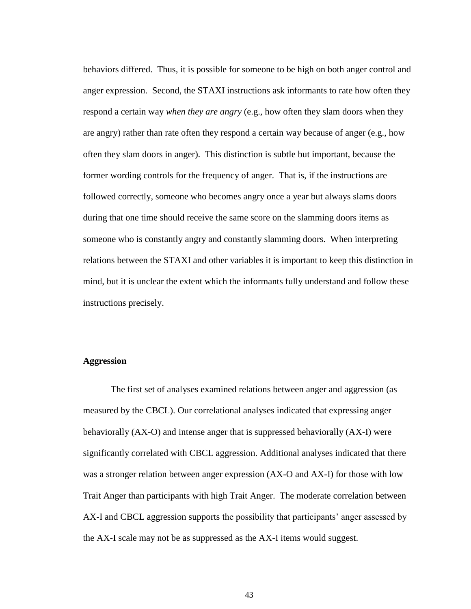behaviors differed. Thus, it is possible for someone to be high on both anger control and anger expression. Second, the STAXI instructions ask informants to rate how often they respond a certain way *when they are angry* (e.g., how often they slam doors when they are angry) rather than rate often they respond a certain way because of anger (e.g., how often they slam doors in anger). This distinction is subtle but important, because the former wording controls for the frequency of anger. That is, if the instructions are followed correctly, someone who becomes angry once a year but always slams doors during that one time should receive the same score on the slamming doors items as someone who is constantly angry and constantly slamming doors. When interpreting relations between the STAXI and other variables it is important to keep this distinction in mind, but it is unclear the extent which the informants fully understand and follow these instructions precisely.

### **Aggression**

The first set of analyses examined relations between anger and aggression (as measured by the CBCL). Our correlational analyses indicated that expressing anger behaviorally (AX-O) and intense anger that is suppressed behaviorally (AX-I) were significantly correlated with CBCL aggression. Additional analyses indicated that there was a stronger relation between anger expression (AX-O and AX-I) for those with low Trait Anger than participants with high Trait Anger. The moderate correlation between AX-I and CBCL aggression supports the possibility that participants' anger assessed by the AX-I scale may not be as suppressed as the AX-I items would suggest.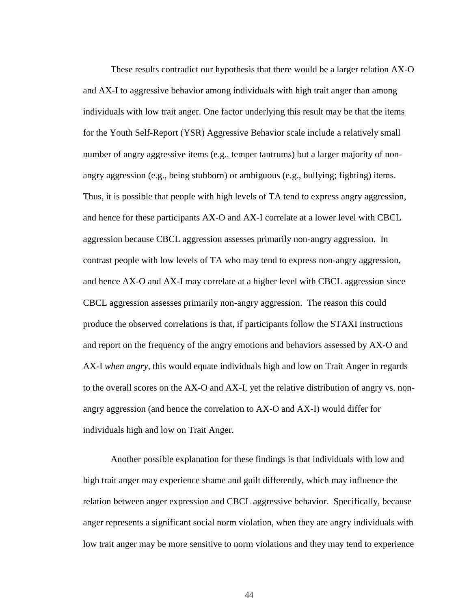These results contradict our hypothesis that there would be a larger relation AX-O and AX-I to aggressive behavior among individuals with high trait anger than among individuals with low trait anger. One factor underlying this result may be that the items for the Youth Self-Report (YSR) Aggressive Behavior scale include a relatively small number of angry aggressive items (e.g., temper tantrums) but a larger majority of nonangry aggression (e.g., being stubborn) or ambiguous (e.g., bullying; fighting) items. Thus, it is possible that people with high levels of TA tend to express angry aggression, and hence for these participants AX-O and AX-I correlate at a lower level with CBCL aggression because CBCL aggression assesses primarily non-angry aggression. In contrast people with low levels of TA who may tend to express non-angry aggression, and hence AX-O and AX-I may correlate at a higher level with CBCL aggression since CBCL aggression assesses primarily non-angry aggression. The reason this could produce the observed correlations is that, if participants follow the STAXI instructions and report on the frequency of the angry emotions and behaviors assessed by AX-O and AX-I *when angry*, this would equate individuals high and low on Trait Anger in regards to the overall scores on the AX-O and AX-I, yet the relative distribution of angry vs. nonangry aggression (and hence the correlation to AX-O and AX-I) would differ for individuals high and low on Trait Anger.

Another possible explanation for these findings is that individuals with low and high trait anger may experience shame and guilt differently, which may influence the relation between anger expression and CBCL aggressive behavior. Specifically, because anger represents a significant social norm violation, when they are angry individuals with low trait anger may be more sensitive to norm violations and they may tend to experience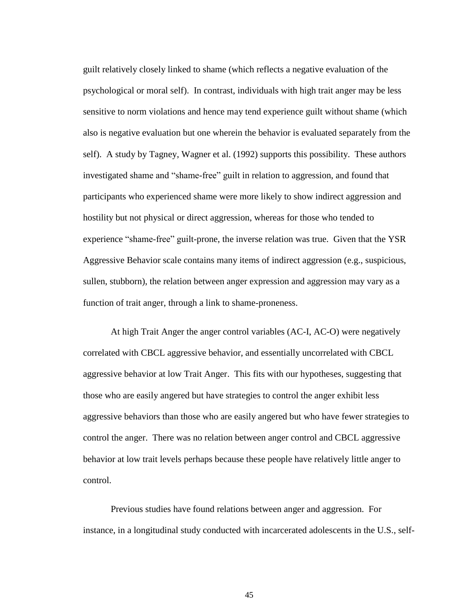guilt relatively closely linked to shame (which reflects a negative evaluation of the psychological or moral self). In contrast, individuals with high trait anger may be less sensitive to norm violations and hence may tend experience guilt without shame (which also is negative evaluation but one wherein the behavior is evaluated separately from the self). A study by Tagney, Wagner et al. (1992) supports this possibility. These authors investigated shame and "shame-free" guilt in relation to aggression, and found that participants who experienced shame were more likely to show indirect aggression and hostility but not physical or direct aggression, whereas for those who tended to experience "shame-free" guilt-prone, the inverse relation was true. Given that the YSR Aggressive Behavior scale contains many items of indirect aggression (e.g., suspicious, sullen, stubborn), the relation between anger expression and aggression may vary as a function of trait anger, through a link to shame-proneness.

At high Trait Anger the anger control variables (AC-I, AC-O) were negatively correlated with CBCL aggressive behavior, and essentially uncorrelated with CBCL aggressive behavior at low Trait Anger. This fits with our hypotheses, suggesting that those who are easily angered but have strategies to control the anger exhibit less aggressive behaviors than those who are easily angered but who have fewer strategies to control the anger. There was no relation between anger control and CBCL aggressive behavior at low trait levels perhaps because these people have relatively little anger to control.

Previous studies have found relations between anger and aggression. For instance, in a longitudinal study conducted with incarcerated adolescents in the U.S., self-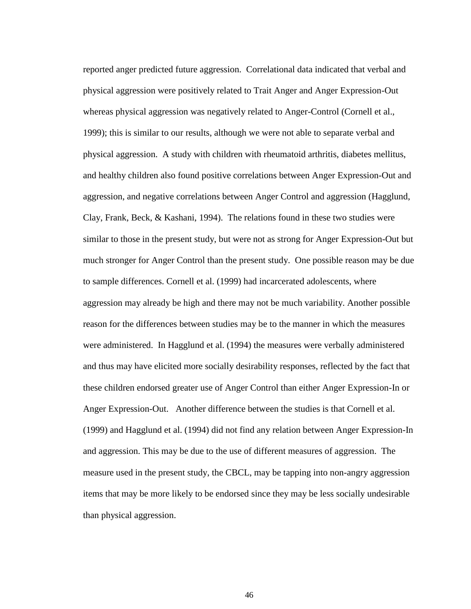reported anger predicted future aggression. Correlational data indicated that verbal and physical aggression were positively related to Trait Anger and Anger Expression-Out whereas physical aggression was negatively related to Anger-Control (Cornell et al., 1999); this is similar to our results, although we were not able to separate verbal and physical aggression. A study with children with rheumatoid arthritis, diabetes mellitus, and healthy children also found positive correlations between Anger Expression-Out and aggression, and negative correlations between Anger Control and aggression (Hagglund, Clay, Frank, Beck, & Kashani, 1994). The relations found in these two studies were similar to those in the present study, but were not as strong for Anger Expression-Out but much stronger for Anger Control than the present study. One possible reason may be due to sample differences. Cornell et al. (1999) had incarcerated adolescents, where aggression may already be high and there may not be much variability. Another possible reason for the differences between studies may be to the manner in which the measures were administered. In Hagglund et al. (1994) the measures were verbally administered and thus may have elicited more socially desirability responses, reflected by the fact that these children endorsed greater use of Anger Control than either Anger Expression-In or Anger Expression-Out. Another difference between the studies is that Cornell et al. (1999) and Hagglund et al. (1994) did not find any relation between Anger Expression-In and aggression. This may be due to the use of different measures of aggression. The measure used in the present study, the CBCL, may be tapping into non-angry aggression items that may be more likely to be endorsed since they may be less socially undesirable than physical aggression.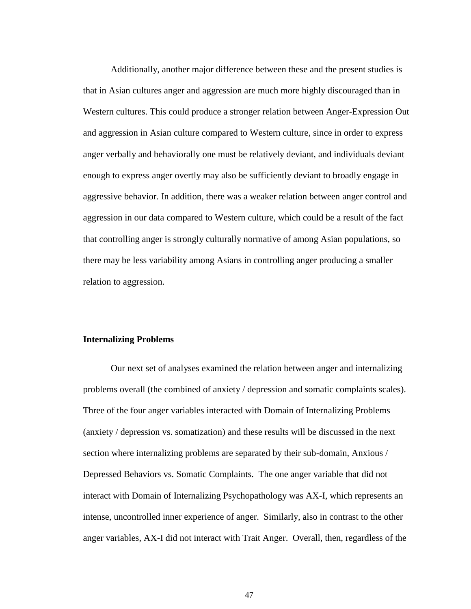Additionally, another major difference between these and the present studies is that in Asian cultures anger and aggression are much more highly discouraged than in Western cultures. This could produce a stronger relation between Anger-Expression Out and aggression in Asian culture compared to Western culture, since in order to express anger verbally and behaviorally one must be relatively deviant, and individuals deviant enough to express anger overtly may also be sufficiently deviant to broadly engage in aggressive behavior. In addition, there was a weaker relation between anger control and aggression in our data compared to Western culture, which could be a result of the fact that controlling anger is strongly culturally normative of among Asian populations, so there may be less variability among Asians in controlling anger producing a smaller relation to aggression.

### **Internalizing Problems**

Our next set of analyses examined the relation between anger and internalizing problems overall (the combined of anxiety / depression and somatic complaints scales). Three of the four anger variables interacted with Domain of Internalizing Problems (anxiety / depression vs. somatization) and these results will be discussed in the next section where internalizing problems are separated by their sub-domain, Anxious / Depressed Behaviors vs. Somatic Complaints. The one anger variable that did not interact with Domain of Internalizing Psychopathology was AX-I, which represents an intense, uncontrolled inner experience of anger. Similarly, also in contrast to the other anger variables, AX-I did not interact with Trait Anger. Overall, then, regardless of the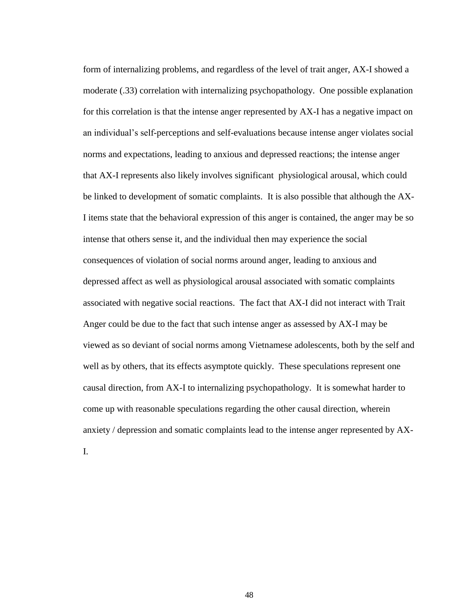form of internalizing problems, and regardless of the level of trait anger, AX-I showed a moderate (.33) correlation with internalizing psychopathology. One possible explanation for this correlation is that the intense anger represented by AX-I has a negative impact on an individual"s self-perceptions and self-evaluations because intense anger violates social norms and expectations, leading to anxious and depressed reactions; the intense anger that AX-I represents also likely involves significant physiological arousal, which could be linked to development of somatic complaints. It is also possible that although the AX-I items state that the behavioral expression of this anger is contained, the anger may be so intense that others sense it, and the individual then may experience the social consequences of violation of social norms around anger, leading to anxious and depressed affect as well as physiological arousal associated with somatic complaints associated with negative social reactions. The fact that AX-I did not interact with Trait Anger could be due to the fact that such intense anger as assessed by AX-I may be viewed as so deviant of social norms among Vietnamese adolescents, both by the self and well as by others, that its effects asymptote quickly. These speculations represent one causal direction, from AX-I to internalizing psychopathology. It is somewhat harder to come up with reasonable speculations regarding the other causal direction, wherein anxiety / depression and somatic complaints lead to the intense anger represented by AX-

I.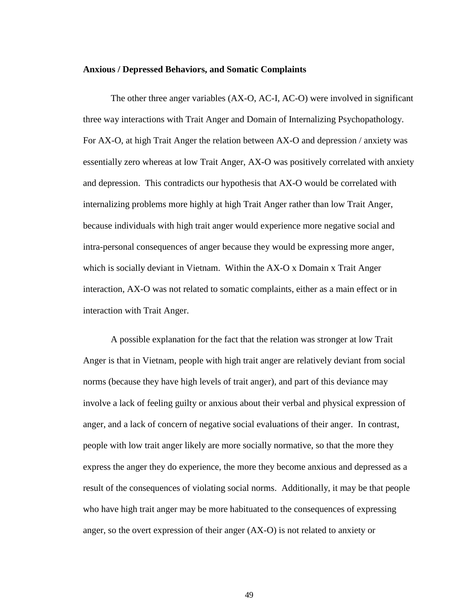#### **Anxious / Depressed Behaviors, and Somatic Complaints**

The other three anger variables (AX-O, AC-I, AC-O) were involved in significant three way interactions with Trait Anger and Domain of Internalizing Psychopathology. For AX-O, at high Trait Anger the relation between AX-O and depression / anxiety was essentially zero whereas at low Trait Anger, AX-O was positively correlated with anxiety and depression. This contradicts our hypothesis that AX-O would be correlated with internalizing problems more highly at high Trait Anger rather than low Trait Anger, because individuals with high trait anger would experience more negative social and intra-personal consequences of anger because they would be expressing more anger, which is socially deviant in Vietnam. Within the AX-O x Domain x Trait Anger interaction, AX-O was not related to somatic complaints, either as a main effect or in interaction with Trait Anger.

A possible explanation for the fact that the relation was stronger at low Trait Anger is that in Vietnam, people with high trait anger are relatively deviant from social norms (because they have high levels of trait anger), and part of this deviance may involve a lack of feeling guilty or anxious about their verbal and physical expression of anger, and a lack of concern of negative social evaluations of their anger. In contrast, people with low trait anger likely are more socially normative, so that the more they express the anger they do experience, the more they become anxious and depressed as a result of the consequences of violating social norms. Additionally, it may be that people who have high trait anger may be more habituated to the consequences of expressing anger, so the overt expression of their anger (AX-O) is not related to anxiety or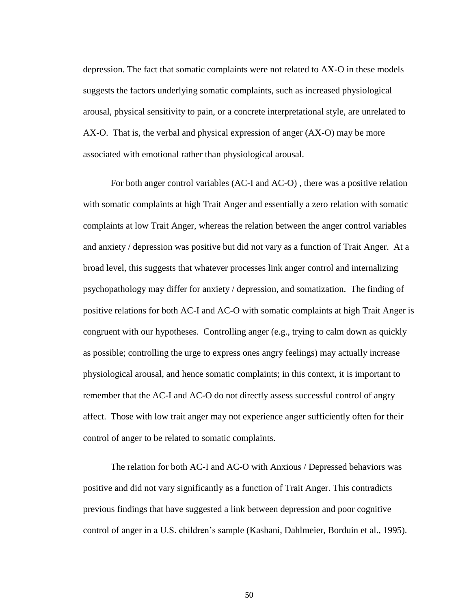depression. The fact that somatic complaints were not related to AX-O in these models suggests the factors underlying somatic complaints, such as increased physiological arousal, physical sensitivity to pain, or a concrete interpretational style, are unrelated to AX-O. That is, the verbal and physical expression of anger (AX-O) may be more associated with emotional rather than physiological arousal.

For both anger control variables (AC-I and AC-O) , there was a positive relation with somatic complaints at high Trait Anger and essentially a zero relation with somatic complaints at low Trait Anger, whereas the relation between the anger control variables and anxiety / depression was positive but did not vary as a function of Trait Anger. At a broad level, this suggests that whatever processes link anger control and internalizing psychopathology may differ for anxiety / depression, and somatization. The finding of positive relations for both AC-I and AC-O with somatic complaints at high Trait Anger is congruent with our hypotheses. Controlling anger (e.g., trying to calm down as quickly as possible; controlling the urge to express ones angry feelings) may actually increase physiological arousal, and hence somatic complaints; in this context, it is important to remember that the AC-I and AC-O do not directly assess successful control of angry affect. Those with low trait anger may not experience anger sufficiently often for their control of anger to be related to somatic complaints.

The relation for both AC-I and AC-O with Anxious / Depressed behaviors was positive and did not vary significantly as a function of Trait Anger. This contradicts previous findings that have suggested a link between depression and poor cognitive control of anger in a U.S. children"s sample (Kashani, Dahlmeier, Borduin et al., 1995).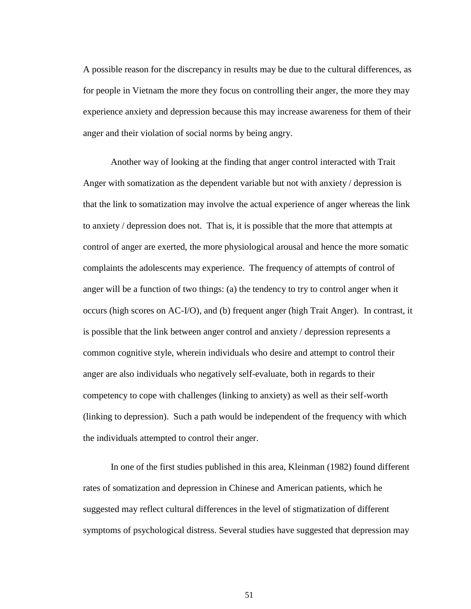A possible reason for the discrepancy in results may be due to the cultural differences, as for people in Vietnam the more they focus on controlling their anger, the more they may experience anxiety and depression because this may increase awareness for them of their anger and their violation of social norms by being angry.

Another way of looking at the finding that anger control interacted with Trait Anger with somatization as the dependent variable but not with anxiety / depression is that the link to somatization may involve the actual experience of anger whereas the link to anxiety / depression does not. That is, it is possible that the more that attempts at control of anger are exerted, the more physiological arousal and hence the more somatic complaints the adolescents may experience. The frequency of attempts of control of anger will be a function of two things: (a) the tendency to try to control anger when it occurs (high scores on AC-I/O), and (b) frequent anger (high Trait Anger). In contrast, it is possible that the link between anger control and anxiety / depression represents a common cognitive style, wherein individuals who desire and attempt to control their anger are also individuals who negatively self-evaluate, both in regards to their competency to cope with challenges (linking to anxiety) as well as their self-worth (linking to depression). Such a path would be independent of the frequency with which the individuals attempted to control their anger.

In one of the first studies published in this area, Kleinman (1982) found different rates of somatization and depression in Chinese and American patients, which he suggested may reflect cultural differences in the level of stigmatization of different symptoms of psychological distress. Several studies have suggested that depression may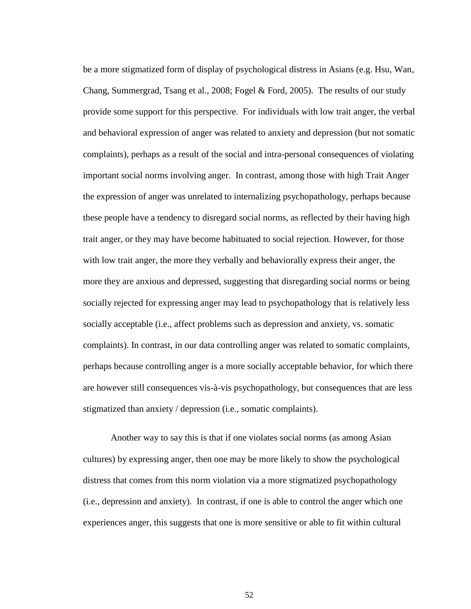be a more stigmatized form of display of psychological distress in Asians (e.g. Hsu, Wan, Chang, Summergrad, Tsang et al., 2008; Fogel & Ford, 2005). The results of our study provide some support for this perspective. For individuals with low trait anger, the verbal and behavioral expression of anger was related to anxiety and depression (but not somatic complaints), perhaps as a result of the social and intra-personal consequences of violating important social norms involving anger. In contrast, among those with high Trait Anger the expression of anger was unrelated to internalizing psychopathology, perhaps because these people have a tendency to disregard social norms, as reflected by their having high trait anger, or they may have become habituated to social rejection. However, for those with low trait anger, the more they verbally and behaviorally express their anger, the more they are anxious and depressed, suggesting that disregarding social norms or being socially rejected for expressing anger may lead to psychopathology that is relatively less socially acceptable (i.e., affect problems such as depression and anxiety, vs. somatic complaints). In contrast, in our data controlling anger was related to somatic complaints, perhaps because controlling anger is a more socially acceptable behavior, for which there are however still consequences vis-à-vis psychopathology, but consequences that are less stigmatized than anxiety / depression (i.e., somatic complaints).

Another way to say this is that if one violates social norms (as among Asian cultures) by expressing anger, then one may be more likely to show the psychological distress that comes from this norm violation via a more stigmatized psychopathology (i.e., depression and anxiety). In contrast, if one is able to control the anger which one experiences anger, this suggests that one is more sensitive or able to fit within cultural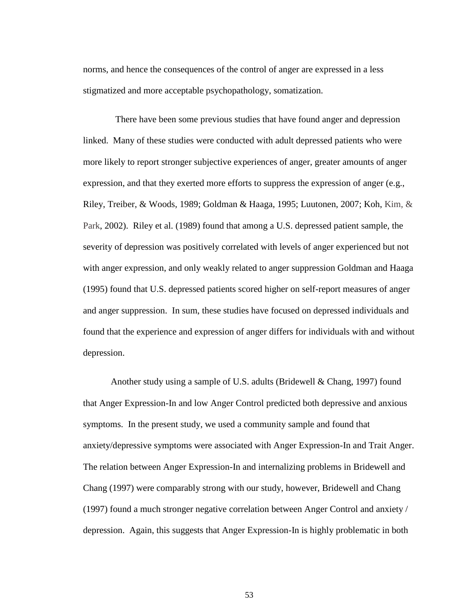norms, and hence the consequences of the control of anger are expressed in a less stigmatized and more acceptable psychopathology, somatization.

 There have been some previous studies that have found anger and depression linked. Many of these studies were conducted with adult depressed patients who were more likely to report stronger subjective experiences of anger, greater amounts of anger expression, and that they exerted more efforts to suppress the expression of anger (e.g., Riley, Treiber, & Woods, 1989; Goldman & Haaga, 1995; Luutonen, 2007; Koh, Kim, & Park, 2002). Riley et al. (1989) found that among a U.S. depressed patient sample, the severity of depression was positively correlated with levels of anger experienced but not with anger expression, and only weakly related to anger suppression Goldman and Haaga (1995) found that U.S. depressed patients scored higher on self-report measures of anger and anger suppression. In sum, these studies have focused on depressed individuals and found that the experience and expression of anger differs for individuals with and without depression.

Another study using a sample of U.S. adults (Bridewell & Chang, 1997) found that Anger Expression-In and low Anger Control predicted both depressive and anxious symptoms. In the present study, we used a community sample and found that anxiety/depressive symptoms were associated with Anger Expression-In and Trait Anger. The relation between Anger Expression-In and internalizing problems in Bridewell and Chang (1997) were comparably strong with our study, however, Bridewell and Chang (1997) found a much stronger negative correlation between Anger Control and anxiety / depression. Again, this suggests that Anger Expression-In is highly problematic in both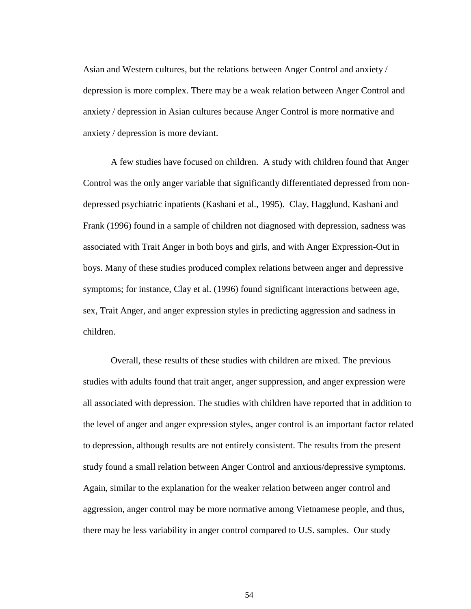Asian and Western cultures, but the relations between Anger Control and anxiety / depression is more complex. There may be a weak relation between Anger Control and anxiety / depression in Asian cultures because Anger Control is more normative and anxiety / depression is more deviant.

A few studies have focused on children. A study with children found that Anger Control was the only anger variable that significantly differentiated depressed from nondepressed psychiatric inpatients (Kashani et al., 1995). Clay, Hagglund, Kashani and Frank (1996) found in a sample of children not diagnosed with depression, sadness was associated with Trait Anger in both boys and girls, and with Anger Expression-Out in boys. Many of these studies produced complex relations between anger and depressive symptoms; for instance, Clay et al. (1996) found significant interactions between age, sex, Trait Anger, and anger expression styles in predicting aggression and sadness in children.

Overall, these results of these studies with children are mixed. The previous studies with adults found that trait anger, anger suppression, and anger expression were all associated with depression. The studies with children have reported that in addition to the level of anger and anger expression styles, anger control is an important factor related to depression, although results are not entirely consistent. The results from the present study found a small relation between Anger Control and anxious/depressive symptoms. Again, similar to the explanation for the weaker relation between anger control and aggression, anger control may be more normative among Vietnamese people, and thus, there may be less variability in anger control compared to U.S. samples. Our study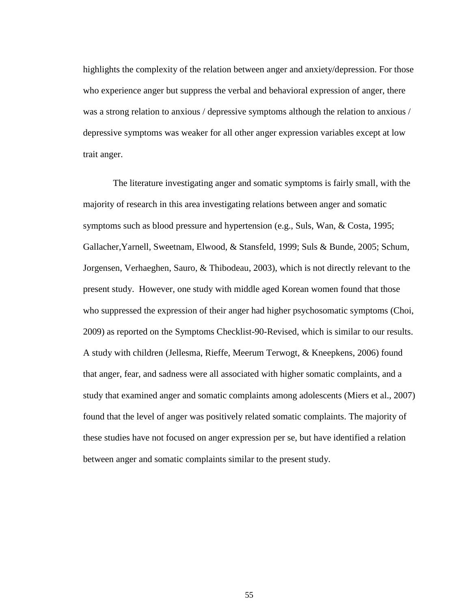highlights the complexity of the relation between anger and anxiety/depression. For those who experience anger but suppress the verbal and behavioral expression of anger, there was a strong relation to anxious / depressive symptoms although the relation to anxious / depressive symptoms was weaker for all other anger expression variables except at low trait anger.

The literature investigating anger and somatic symptoms is fairly small, with the majority of research in this area investigating relations between anger and somatic symptoms such as blood pressure and hypertension (e.g., Suls, Wan, & Costa, 1995; Gallacher,Yarnell, Sweetnam, Elwood, & Stansfeld, 1999; Suls & Bunde, 2005; Schum, Jorgensen, Verhaeghen, Sauro, & Thibodeau, 2003), which is not directly relevant to the present study. However, one study with middle aged Korean women found that those who suppressed the expression of their anger had higher psychosomatic symptoms (Choi, 2009) as reported on the Symptoms Checklist-90-Revised, which is similar to our results. A study with children (Jellesma, Rieffe, Meerum Terwogt, & Kneepkens, 2006) found that anger, fear, and sadness were all associated with higher somatic complaints, and a study that examined anger and somatic complaints among adolescents (Miers et al., 2007) found that the level of anger was positively related somatic complaints. The majority of these studies have not focused on anger expression per se, but have identified a relation between anger and somatic complaints similar to the present study.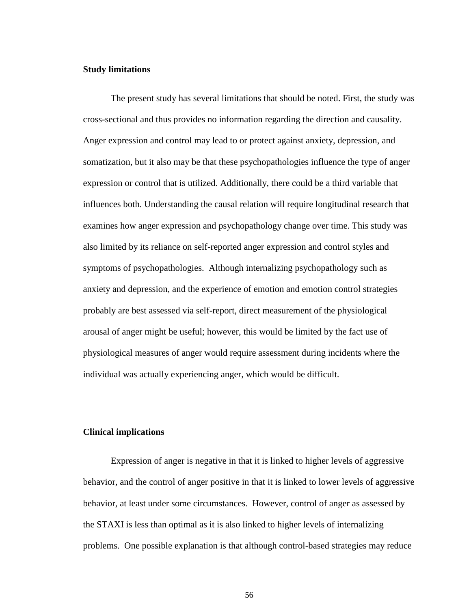## **Study limitations**

The present study has several limitations that should be noted. First, the study was cross-sectional and thus provides no information regarding the direction and causality. Anger expression and control may lead to or protect against anxiety, depression, and somatization, but it also may be that these psychopathologies influence the type of anger expression or control that is utilized. Additionally, there could be a third variable that influences both. Understanding the causal relation will require longitudinal research that examines how anger expression and psychopathology change over time. This study was also limited by its reliance on self-reported anger expression and control styles and symptoms of psychopathologies. Although internalizing psychopathology such as anxiety and depression, and the experience of emotion and emotion control strategies probably are best assessed via self-report, direct measurement of the physiological arousal of anger might be useful; however, this would be limited by the fact use of physiological measures of anger would require assessment during incidents where the individual was actually experiencing anger, which would be difficult.

## **Clinical implications**

Expression of anger is negative in that it is linked to higher levels of aggressive behavior, and the control of anger positive in that it is linked to lower levels of aggressive behavior, at least under some circumstances. However, control of anger as assessed by the STAXI is less than optimal as it is also linked to higher levels of internalizing problems. One possible explanation is that although control-based strategies may reduce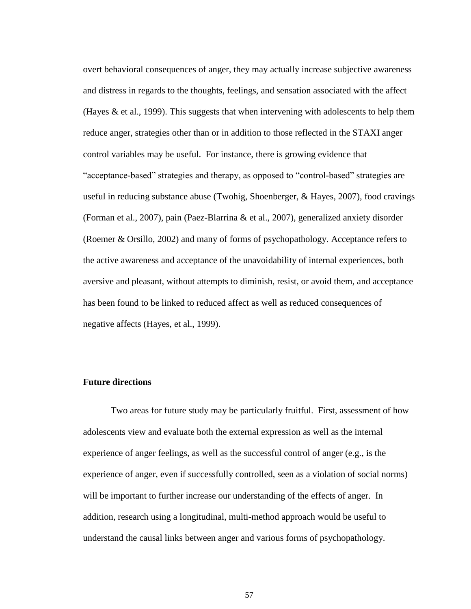overt behavioral consequences of anger, they may actually increase subjective awareness and distress in regards to the thoughts, feelings, and sensation associated with the affect (Hayes  $\&$  et al., 1999). This suggests that when intervening with adolescents to help them reduce anger, strategies other than or in addition to those reflected in the STAXI anger control variables may be useful. For instance, there is growing evidence that "acceptance-based" strategies and therapy, as opposed to "control-based" strategies are useful in reducing substance abuse (Twohig, Shoenberger, & Hayes, 2007), food cravings (Forman et al., 2007), pain (Paez-Blarrina & et al., 2007), generalized anxiety disorder (Roemer & Orsillo, 2002) and many of forms of psychopathology. Acceptance refers to the active awareness and acceptance of the unavoidability of internal experiences, both aversive and pleasant, without attempts to diminish, resist, or avoid them, and acceptance has been found to be linked to reduced affect as well as reduced consequences of negative affects (Hayes, et al., 1999).

## **Future directions**

Two areas for future study may be particularly fruitful. First, assessment of how adolescents view and evaluate both the external expression as well as the internal experience of anger feelings, as well as the successful control of anger (e.g., is the experience of anger, even if successfully controlled, seen as a violation of social norms) will be important to further increase our understanding of the effects of anger. In addition, research using a longitudinal, multi-method approach would be useful to understand the causal links between anger and various forms of psychopathology.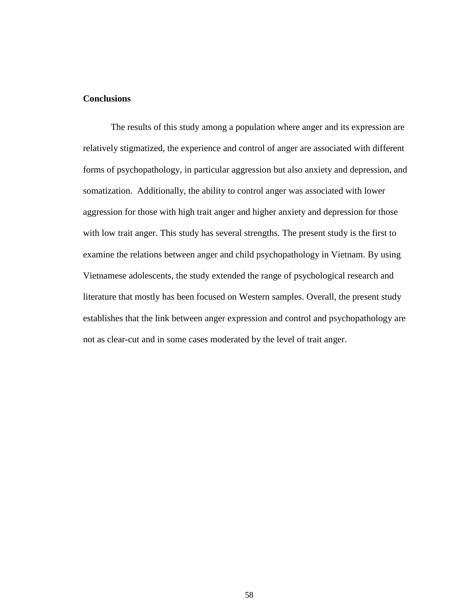# **Conclusions**

The results of this study among a population where anger and its expression are relatively stigmatized, the experience and control of anger are associated with different forms of psychopathology, in particular aggression but also anxiety and depression, and somatization. Additionally, the ability to control anger was associated with lower aggression for those with high trait anger and higher anxiety and depression for those with low trait anger. This study has several strengths. The present study is the first to examine the relations between anger and child psychopathology in Vietnam. By using Vietnamese adolescents, the study extended the range of psychological research and literature that mostly has been focused on Western samples. Overall, the present study establishes that the link between anger expression and control and psychopathology are not as clear-cut and in some cases moderated by the level of trait anger.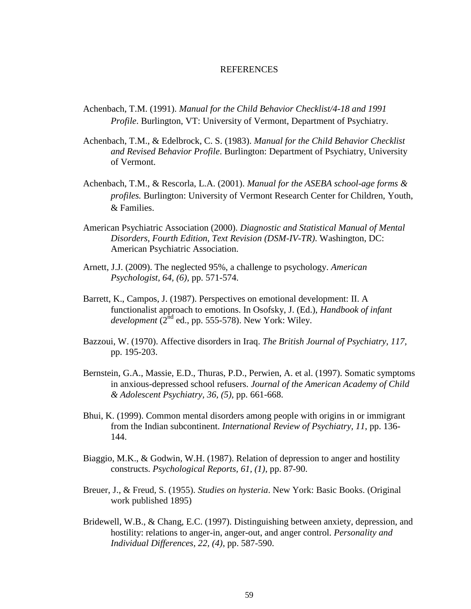#### **REFERENCES**

- Achenbach, T.M. (1991). *Manual for the Child Behavior Checklist/4-18 and 1991 Profile*. Burlington, VT: University of Vermont, Department of Psychiatry.
- Achenbach, T.M., & Edelbrock, C. S. (1983). *Manual for the Child Behavior Checklist and Revised Behavior Profile*. Burlington: Department of Psychiatry, University of Vermont.
- Achenbach, T.M., & Rescorla, L.A. (2001). *Manual for the ASEBA school-age forms & profiles.* Burlington: University of Vermont Research Center for Children, Youth, & Families.
- American Psychiatric Association (2000). *Diagnostic and Statistical Manual of Mental Disorders, Fourth Edition, Text Revision (DSM-IV-TR)*. Washington, DC: American Psychiatric Association.
- Arnett, J.J. (2009). The neglected 95%, a challenge to psychology. *American Psychologist, 64, (6),* pp. 571-574.
- Barrett, K., Campos, J. (1987). Perspectives on emotional development: II. A functionalist approach to emotions. In Osofsky, J. (Ed.), *Handbook of infant development*  $(2^{nd}$  ed., pp. 555-578). New York: Wiley.
- Bazzoui, W. (1970). Affective disorders in Iraq. *The British Journal of Psychiatry, 117,*  pp. 195-203.
- Bernstein, G.A., Massie, E.D., Thuras, P.D., Perwien, A. et al. (1997). Somatic symptoms in anxious-depressed school refusers. *Journal of the American Academy of Child & Adolescent Psychiatry, 36, (5),* pp. 661-668.
- Bhui, K. (1999). Common mental disorders among people with origins in or immigrant from the Indian subcontinent. *International Review of Psychiatry, 11*, pp. 136- 144.
- Biaggio, M.K., & Godwin, W.H. (1987). Relation of depression to anger and hostility constructs. *Psychological Reports, 61, (1)*, pp. 87-90.
- Breuer, J., & Freud, S. (1955). *Studies on hysteria*. New York: Basic Books. (Original work published 1895)
- Bridewell, W.B., & Chang, E.C. (1997). Distinguishing between anxiety, depression, and hostility: relations to anger-in, anger-out, and anger control. *Personality and Individual Differences, 22, (4)*, pp. 587-590.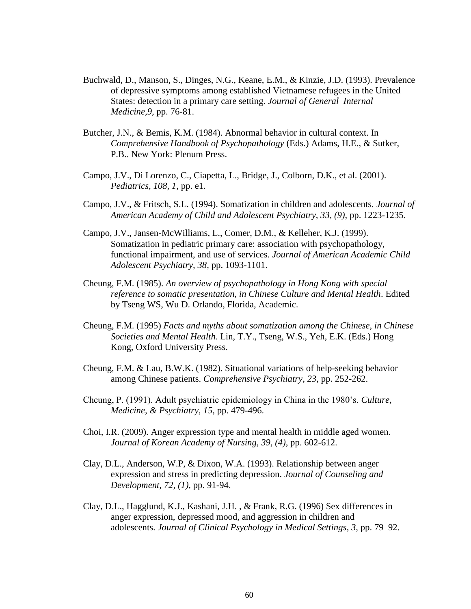- Buchwald, D., Manson, S., Dinges, N.G., Keane, E.M., & Kinzie, J.D. (1993). Prevalence of depressive symptoms among established Vietnamese refugees in the United States: detection in a primary care setting. *Journal of General Internal Medicine,9,* pp. 76-81.
- Butcher, J.N., & Bemis, K.M. (1984). Abnormal behavior in cultural context. In *Comprehensive Handbook of Psychopathology* (Eds.) Adams, H.E., & Sutker, P.B.. New York: Plenum Press.
- Campo, J.V., Di Lorenzo, C., Ciapetta, L., Bridge, J., Colborn, D.K., et al. (2001). *Pediatrics, 108, 1,* pp. e1.
- Campo, J.V., & Fritsch, S.L. (1994). Somatization in children and adolescents. *Journal of American Academy of Child and Adolescent Psychiatry, 33, (9)*, pp. 1223-1235.
- Campo, J.V., Jansen-McWilliams, L., Comer, D.M., & Kelleher, K.J. (1999). Somatization in pediatric primary care: association with psychopathology, functional impairment, and use of services. *Journal of American Academic Child Adolescent Psychiatry, 38,* pp. 1093-1101.
- Cheung, F.M. (1985). *An overview of psychopathology in Hong Kong with special reference to somatic presentation, in Chinese Culture and Mental Health*. Edited by Tseng WS, Wu D. Orlando, Florida, Academic.
- Cheung, F.M. (1995) *Facts and myths about somatization among the Chinese, in Chinese Societies and Mental Health*. Lin, T.Y., Tseng, W.S., Yeh, E.K. (Eds.) Hong Kong, Oxford University Press.
- Cheung, F.M. & Lau, B.W.K. (1982). Situational variations of help-seeking behavior among Chinese patients. *Comprehensive Psychiatry, 23*, pp. 252-262.
- Cheung, P. (1991). Adult psychiatric epidemiology in China in the 1980"s. *Culture, Medicine, & Psychiatry, 15,* pp. 479-496.
- Choi, I.R. (2009). Anger expression type and mental health in middle aged women. *Journal of Korean Academy of Nursing, 39, (4)*, pp. 602-612.
- Clay, D.L., Anderson, W.P, & Dixon, W.A. (1993). Relationship between anger expression and stress in predicting depression. *Journal of Counseling and Development, 72, (1),* pp. 91-94.
- Clay, D.L., Hagglund, K.J., Kashani, J.H. , & Frank, R.G. (1996) Sex differences in anger expression, depressed mood, and aggression in children and adolescents. *Journal of Clinical Psychology in Medical Settings*, *3*, pp. 79–92.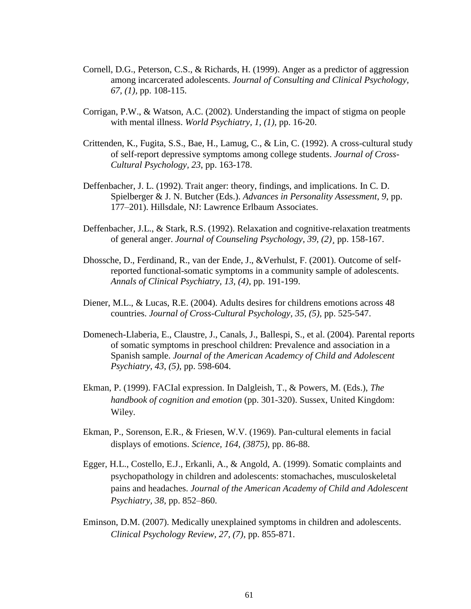- Cornell, D.G., Peterson, C.S., & Richards, H. (1999). Anger as a predictor of aggression among incarcerated adolescents. *Journal of Consulting and Clinical Psychology, 67, (1),* pp. 108-115.
- Corrigan, P.W., & Watson, A.C. (2002). Understanding the impact of stigma on people with mental illness. *World Psychiatry, 1, (1),* pp. 16-20.
- Crittenden, K., Fugita, S.S., Bae, H., Lamug, C., & Lin, C. (1992). A cross-cultural study of self-report depressive symptoms among college students. *Journal of Cross-Cultural Psychology, 23*, pp. 163-178.
- Deffenbacher, J. L. (1992). Trait anger: theory, findings, and implications. In C. D. Spielberger & J. N. Butcher (Eds.). *Advances in Personality Assessment*, *9*, pp. 177–201). Hillsdale, NJ: Lawrence Erlbaum Associates.
- Deffenbacher, J.L., & Stark, R.S. (1992). Relaxation and cognitive-relaxation treatments of general anger. *Journal of Counseling Psychology, 39, (2)¸* pp. 158-167.
- Dhossche, D., Ferdinand, R., van der Ende, J., &Verhulst, F. (2001). Outcome of selfreported functional-somatic symptoms in a community sample of adolescents. *Annals of Clinical Psychiatry, 13, (4)*, pp. 191-199.
- Diener, M.L., & Lucas, R.E. (2004). Adults desires for childrens emotions across 48 countries. *Journal of Cross-Cultural Psychology, 35, (5),* pp. 525-547.
- Domenech-Llaberia, E., Claustre, J., Canals, J., Ballespi, S., et al. (2004). Parental reports of somatic symptoms in preschool children: Prevalence and association in a Spanish sample. *Journal of the American Academcy of Child and Adolescent Psychiatry, 43, (5)*, pp. 598-604.
- Ekman, P. (1999). FACIal expression. In Dalgleish, T., & Powers, M. (Eds.), *The handbook of cognition and emotion* (pp. 301-320). Sussex, United Kingdom: Wiley.
- Ekman, P., Sorenson, E.R., & Friesen, W.V. (1969). Pan-cultural elements in facial displays of emotions. *Science, 164, (3875)*, pp. 86-88.
- Egger, H.L., Costello, E.J., Erkanli, A., & Angold, A. (1999). Somatic complaints and psychopathology in children and adolescents: stomachaches, musculoskeletal pains and headaches. *Journal of the American Academy of Child and Adolescent Psychiatry, 38*, pp. 852–860.
- Eminson, D.M. (2007). Medically unexplained symptoms in children and adolescents. *Clinical Psychology Review, 27, (7)*, pp. 855-871.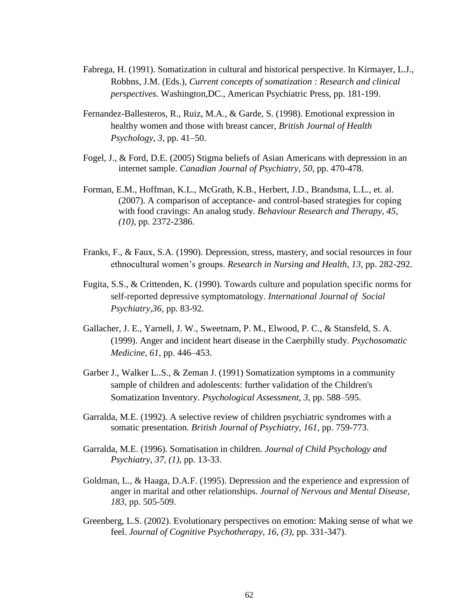- Fabrega, H. (1991). Somatization in cultural and historical perspective. In Kirmayer, L.J., Robbns, J.M. (Eds.), *Current concepts of somatization : Research and clinical perspectives.* Washington,DC., American Psychiatric Press, pp. 181-199.
- Fernandez-Ballesteros, R., Ruiz, M.A., & Garde, S. (1998). Emotional expression in healthy women and those with breast cancer, *British Journal of Health Psychology*, *3*, pp. 41–50.
- Fogel, J., & Ford, D.E. (2005) Stigma beliefs of Asian Americans with depression in an internet sample. *Canadian Journal of Psychiatry, 50*, pp. 470-478.
- Forman, E.M., Hoffman, K.L., McGrath, K.B., Herbert, J.D., Brandsma, L.L., et. al. (2007). A comparison of acceptance- and control-based strategies for coping with food cravings: An analog study. *Behaviour Research and Therapy, 45, (10)*, pp. 2372-2386.
- Franks, F., & Faux, S.A. (1990). Depression, stress, mastery, and social resources in four ethnocultural women"s groups. *Research in Nursing and Health, 13,* pp. 282-292.
- Fugita, S.S., & Crittenden, K. (1990). Towards culture and population specific norms for self-reported depressive symptomatology. *International Journal of Social Psychiatry,36*, pp. 83-92.
- Gallacher, J. E., Yarnell, J. W., Sweetnam, P. M., Elwood, P. C., & Stansfeld, S. A. (1999). Anger and incident heart disease in the Caerphilly study. *Psychosomatic Medicine, 61*, pp. 446–453.
- Garber J., Walker L..S., & Zeman J. (1991) Somatization symptoms in a community sample of children and adolescents: further validation of the Children's Somatization Inventory. *Psychological Assessment, 3,* pp. 588–595.
- Garralda, M.E. (1992). A selective review of children psychiatric syndromes with a somatic presentation. *British Journal of Psychiatry, 161,* pp. 759-773.
- Garralda, M.E. (1996). Somatisation in children. *Journal of Child Psychology and Psychiatry, 37, (1),* pp. 13-33.
- Goldman, L., & Haaga, D.A.F. (1995). Depression and the experience and expression of anger in marital and other relationships. *Journal of Nervous and Mental Disease, 183,* pp. 505-509.
- Greenberg, L.S. (2002). Evolutionary perspectives on emotion: Making sense of what we feel. *Journal of Cognitive Psychotherapy, 16, (3),* pp. 331-347).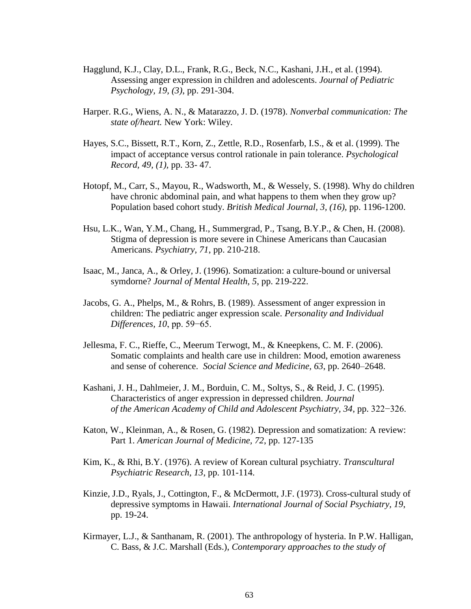- Hagglund, K.J., Clay, D.L., Frank, R.G., Beck, N.C., Kashani, J.H., et al. (1994). Assessing anger expression in children and adolescents. *Journal of Pediatric Psychology, 19, (3)*, pp. 291-304.
- Harper. R.G., Wiens, A. N., & Matarazzo, J. D. (1978). *Nonverbal communication: The state of/heart.* New York: Wiley.
- Hayes, S.C., Bissett, R.T., Korn, Z., Zettle, R.D., Rosenfarb, I.S., & et al. (1999). The impact of acceptance versus control rationale in pain tolerance. *Psychological Record, 49, (1),* pp. 33- 47.
- Hotopf, M., Carr, S., Mayou, R., Wadsworth, M., & Wessely, S. (1998). Why do children have chronic abdominal pain, and what happens to them when they grow up? Population based cohort study. *British Medical Journal, 3, (16),* pp. 1196-1200.
- Hsu, L.K., Wan, Y.M., Chang, H., Summergrad, P., Tsang, B.Y.P., & Chen, H. (2008). Stigma of depression is more severe in Chinese Americans than Caucasian Americans. *Psychiatry, 71*, pp. 210-218.
- Isaac, M., Janca, A., & Orley, J. (1996). Somatization: a culture-bound or universal symdorne? *Journal of Mental Health, 5*, pp. 219-222.
- Jacobs, G. A., Phelps, M., & Rohrs, B. (1989). Assessment of anger expression in children: The pediatric anger expression scale. *Personality and Individual Differences, 10*, pp. 59−65.
- Jellesma, F. C., Rieffe, C., Meerum Terwogt, M., & Kneepkens, C. M. F. (2006). Somatic complaints and health care use in children: Mood, emotion awareness and sense of coherence. *Social Science and Medicine, 63*, pp. 2640–2648.
- Kashani, J. H., Dahlmeier, J. M., Borduin, C. M., Soltys, S., & Reid, J. C. (1995). Characteristics of anger expression in depressed children. *Journal of the American Academy of Child and Adolescent Psychiatry, 34*, pp. 322−326.
- Katon, W., Kleinman, A., & Rosen, G. (1982). Depression and somatization: A review: Part 1. *American Journal of Medicine, 72*, pp. 127-135
- Kim, K., & Rhi, B.Y. (1976). A review of Korean cultural psychiatry. *Transcultural Psychiatric Research, 13*, pp. 101-114.
- Kinzie, J.D., Ryals, J., Cottington, F., & McDermott, J.F. (1973). Cross-cultural study of depressive symptoms in Hawaii. *International Journal of Social Psychiatry, 19*, pp. 19-24.
- Kirmayer, L.J., & Santhanam, R. (2001). The anthropology of hysteria. In P.W. Halligan, C. Bass, & J.C. Marshall (Eds.), *Contemporary approaches to the study of*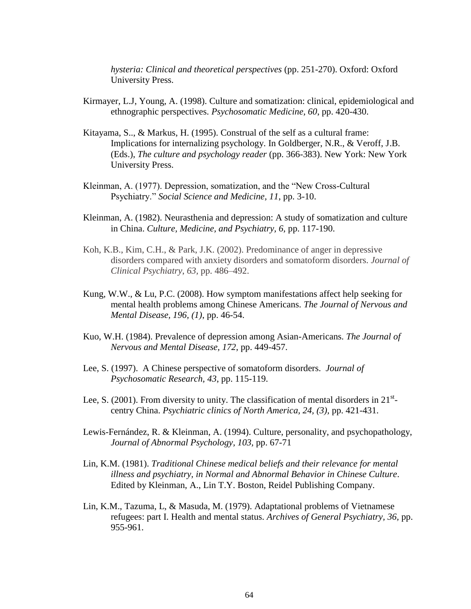*hysteria: Clinical and theoretical perspectives* (pp. 251-270). Oxford: Oxford University Press.

- Kirmayer, L.J, Young, A. (1998). Culture and somatization: clinical, epidemiological and ethnographic perspectives. *Psychosomatic Medicine, 60*, pp. 420-430.
- Kitayama, S.., & Markus, H. (1995). Construal of the self as a cultural frame: Implications for internalizing psychology. In Goldberger, N.R., & Veroff, J.B. (Eds.), *The culture and psychology reader* (pp. 366-383). New York: New York University Press.
- Kleinman, A. (1977). Depression, somatization, and the "New Cross-Cultural Psychiatry." *Social Science and Medicine, 11*, pp. 3-10.
- Kleinman, A. (1982). Neurasthenia and depression: A study of somatization and culture in China. *Culture, Medicine, and Psychiatry, 6,* pp. 117-190.
- Koh, K.B., Kim, C.H., & Park, J.K. (2002). Predominance of anger in depressive disorders compared with anxiety disorders and somatoform disorders. *Journal of Clinical Psychiatry*, *63,* pp. 486–492.
- Kung, W.W., & Lu, P.C. (2008). How symptom manifestations affect help seeking for mental health problems among Chinese Americans. *The Journal of Nervous and Mental Disease, 196, (1)*, pp. 46-54.
- Kuo, W.H. (1984). Prevalence of depression among Asian-Americans. *The Journal of Nervous and Mental Disease, 172*, pp. 449-457.
- Lee, S. (1997). A Chinese perspective of somatoform disorders. *Journal of Psychosomatic Research, 43*, pp. 115-119.
- Lee, S. (2001). From diversity to unity. The classification of mental disorders in  $21^{st}$ centry China. *Psychiatric clinics of North America, 24, (3),* pp. 421-431.
- Lewis-Fernández, R. & Kleinman, A. (1994). Culture, personality, and psychopathology, *Journal of Abnormal Psychology, 103,* pp. 67-71
- Lin, K.M. (1981). *Traditional Chinese medical beliefs and their relevance for mental illness and psychiatry, in Normal and Abnormal Behavior in Chinese Culture*. Edited by Kleinman, A., Lin T.Y. Boston, Reidel Publishing Company.
- Lin, K.M., Tazuma, L, & Masuda, M. (1979). Adaptational problems of Vietnamese refugees: part I. Health and mental status. *Archives of General Psychiatry, 36,* pp. 955-961.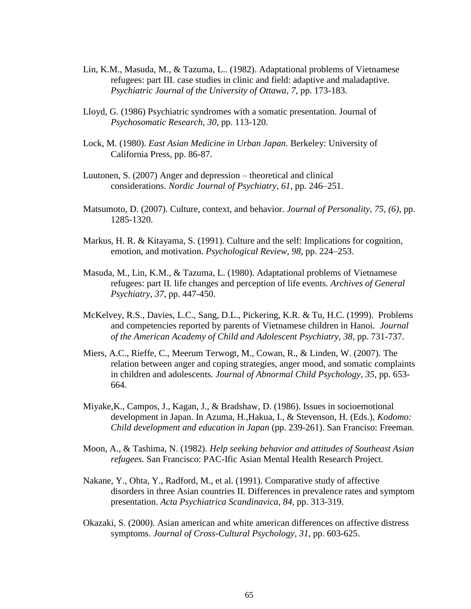- Lin, K.M., Masuda, M., & Tazuma, L.. (1982). Adaptational problems of Vietnamese refugees: part III. case studies in clinic and field: adaptive and maladaptive. *Psychiatric Journal of the University of Ottawa, 7,* pp. 173-183.
- Lloyd, G. (1986) Psychiatric syndromes with a somatic presentation. Journal of *Psychosomatic Research, 30,* pp. 113-120.
- Lock, M. (1980). *East Asian Medicine in Urban Japan.* Berkeley: University of California Press, pp. 86-87.
- Luutonen, S. (2007) Anger and depression theoretical and clinical considerations. *Nordic Journal of Psychiatry*, *61*, pp. 246–251.
- Matsumoto, D. (2007). Culture, context, and behavior. *Journal of Personality, 75, (6),* pp. 1285-1320.
- Markus, H. R. & Kitayama, S. (1991). Culture and the self: Implications for cognition, emotion, and motivation. *Psychological Review, 98*, pp. 224–253.
- Masuda, M., Lin, K.M., & Tazuma, L. (1980). Adaptational problems of Vietnamese refugees: part II. life changes and perception of life events. *Archives of General Psychiatry, 37*, pp. 447-450.
- McKelvey, R.S., Davies, L.C., Sang, D.L., Pickering, K.R. & Tu, H.C. (1999). Problems and competencies reported by parents of Vietnamese children in Hanoi. *Journal of the American Academy of Child and Adolescent Psychiatry, 38*, pp. 731-737.
- Miers, A.C., Rieffe, C., Meerum Terwogt, M., Cowan, R., & Linden, W. (2007). The relation between anger and coping strategies, anger mood, and somatic complaints in children and adolescents. *Journal of Abnormal Child Psychology, 35*, pp. 653- 664.
- Miyake,K., Campos, J., Kagan, J., & Bradshaw, D. (1986). Issues in socioemotional development in Japan. In Azuma, H.,Hakua, I., & Stevenson, H. (Eds.), *Kodomo: Child development and education in Japan* (pp. 239-261). San Franciso: Freeman.
- Moon, A., & Tashima, N. (1982). *Help seeking behavior and attitudes of Southeast Asian refugees.* San Francisco: PAC-Ific Asian Mental Health Research Project.
- Nakane, Y., Ohta, Y., Radford, M., et al. (1991). Comparative study of affective disorders in three Asian countries II. Differences in prevalence rates and symptom presentation. *Acta Psychiatrica Scandinavica, 84*, pp. 313-319.
- Okazaki, S. (2000). Asian american and white american differences on affective distress symptoms. *Journal of Cross-Cultural Psychology, 31*, pp. 603-625.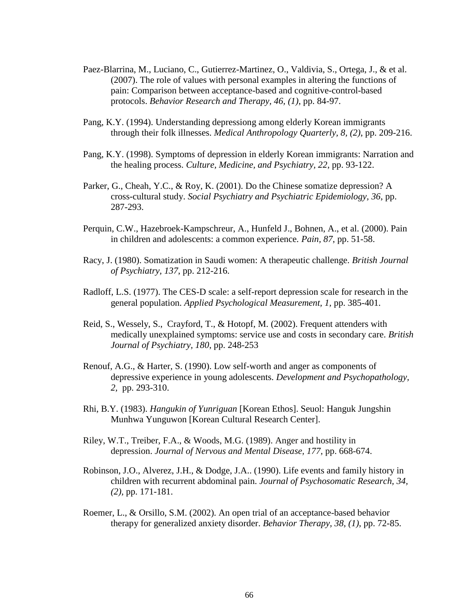- Paez-Blarrina, M., Luciano, C., Gutierrez-Martinez, O., Valdivia, S., Ortega, J., & et al. (2007). The role of values with personal examples in altering the functions of pain: Comparison between acceptance-based and cognitive-control-based protocols. *Behavior Research and Therapy, 46, (1)*, pp. 84-97.
- Pang, K.Y. (1994). Understanding depressiong among elderly Korean immigrants through their folk illnesses. *Medical Anthropology Quarterly, 8, (2)*, pp. 209-216.
- Pang, K.Y. (1998). Symptoms of depression in elderly Korean immigrants: Narration and the healing process. *Culture, Medicine, and Psychiatry, 22*, pp. 93-122.
- Parker, G., Cheah, Y.C., & Roy, K. (2001). Do the Chinese somatize depression? A cross-cultural study. *Social Psychiatry and Psychiatric Epidemiology, 36*, pp. 287-293.
- Perquin, C.W., Hazebroek-Kampschreur, A., Hunfeld J., Bohnen, A., et al. (2000). Pain in children and adolescents: a common experience*. Pain, 87*, pp. 51-58.
- Racy, J. (1980). Somatization in Saudi women: A therapeutic challenge. *British Journal of Psychiatry, 137*, pp. 212-216.
- Radloff, L.S. (1977). The CES-D scale: a self-report depression scale for research in the general population. *Applied Psychological Measurement, 1,* pp. 385-401.
- Reid, S., Wessely, S., Crayford, T., & Hotopf, M. (2002). Frequent attenders with medically unexplained symptoms: service use and costs in secondary care. *British Journal of Psychiatry, 180*, pp. 248-253
- Renouf, A.G., & Harter, S. (1990). Low self-worth and anger as components of depressive experience in young adolescents. *Development and Psychopathology, 2,* pp. 293-310.
- Rhi, B.Y. (1983). *Hangukin of Yunriguan* [Korean Ethos]. Seuol: Hanguk Jungshin Munhwa Yunguwon [Korean Cultural Research Center].
- Riley, W.T., Treiber, F.A., & Woods, M.G. (1989). Anger and hostility in depression. *Journal of Nervous and Mental Disease, 177*, pp. 668-674.
- Robinson, J.O., Alverez, J.H., & Dodge, J.A.. (1990). Life events and family history in children with recurrent abdominal pain. *Journal of Psychosomatic Research, 34, (2),* pp. 171-181.
- Roemer, L., & Orsillo, S.M. (2002). An open trial of an acceptance-based behavior therapy for generalized anxiety disorder. *Behavior Therapy, 38, (1)*, pp. 72-85.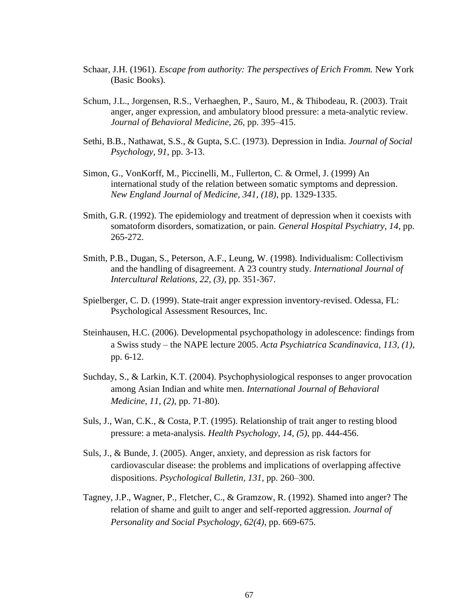- Schaar, J.H. (1961). *Escape from authority: The perspectives of Erich Fromm.* New York (Basic Books).
- Schum, J.L., Jorgensen, R.S., Verhaeghen, P., Sauro, M., & Thibodeau, R. (2003). Trait anger, anger expression, and ambulatory blood pressure: a meta-analytic review. *Journal of Behavioral Medicine, 26,* pp. 395–415.
- Sethi, B.B., Nathawat, S.S., & Gupta, S.C. (1973). Depression in India. *Journal of Social Psychology, 91*, pp. 3-13.
- Simon, G., VonKorff, M., Piccinelli, M., Fullerton, C. & Ormel, J. (1999) An international study of the relation between somatic symptoms and depression. *New England Journal of Medicine, 341, (18)*, pp. 1329-1335.
- Smith, G.R. (1992). The epidemiology and treatment of depression when it coexists with somatoform disorders, somatization, or pain. *General Hospital Psychiatry, 14*, pp. 265-272.
- Smith, P.B., Dugan, S., Peterson, A.F., Leung, W. (1998). Individualism: Collectivism and the handling of disagreement. A 23 country study. *International Journal of Intercultural Relations, 22, (3),* pp. 351-367.
- Spielberger, C. D. (1999). State-trait anger expression inventory-revised. Odessa, FL: Psychological Assessment Resources, Inc.
- Steinhausen, H.C. (2006). Developmental psychopathology in adolescence: findings from a Swiss study – the NAPE lecture 2005. *Acta Psychiatrica Scandinavica, 113, (1)*, pp. 6-12.
- Suchday, S., & Larkin, K.T. (2004). Psychophysiological responses to anger provocation among Asian Indian and white men. *International Journal of Behavioral Medicine, 11, (2)*, pp. 71-80).
- Suls, J., Wan, C.K., & Costa, P.T. (1995). Relationship of trait anger to resting blood pressure: a meta-analysis. *Health Psychology, 14, (5)*, pp. 444-456.
- Suls, J., & Bunde, J. (2005). Anger, anxiety, and depression as risk factors for cardiovascular disease: the problems and implications of overlapping affective dispositions. *Psychological Bulletin, 131,* pp. 260–300.
- Tagney, J.P., Wagner, P., Fletcher, C., & Gramzow, R. (1992). Shamed into anger? The relation of shame and guilt to anger and self-reported aggression. *Journal of Personality and Social Psychology, 62(4)*, pp. 669-675.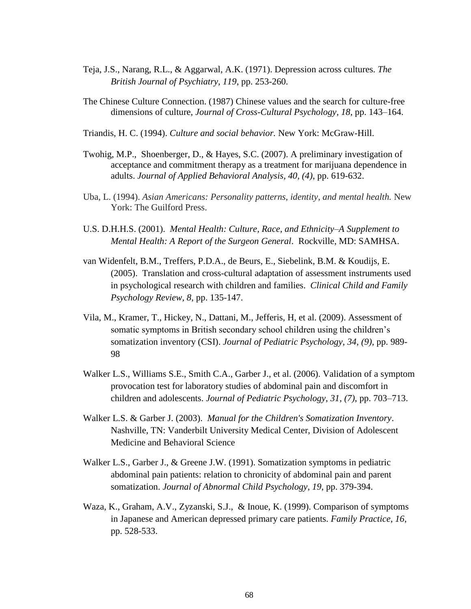- Teja, J.S., Narang, R.L., & Aggarwal, A.K. (1971). Depression across cultures. *The British Journal of Psychiatry, 119*, pp. 253-260.
- The Chinese Culture Connection. (1987) Chinese values and the search for culture-free dimensions of culture, *Journal of Cross-Cultural Psychology, 18*, pp. 143–164.
- Triandis, H. C. (1994). *Culture and social behavior.* New York: McGraw-Hill.
- Twohig, M.P., Shoenberger, D., & Hayes, S.C. (2007). A preliminary investigation of acceptance and commitment therapy as a treatment for marijuana dependence in adults. *Journal of Applied Behavioral Analysis, 40, (4)*, pp. 619-632.
- Uba, L. (1994). *Asian Americans: Personality patterns, identity, and mental health.* New York: The Guilford Press.
- U.S. D.H.H.S. (2001). *Mental Health: Culture, Race, and Ethnicity–A Supplement to Mental Health: A Report of the Surgeon General*. Rockville, MD: SAMHSA.
- van Widenfelt, B.M., Treffers, P.D.A., de Beurs, E., Siebelink, B.M. & Koudijs, E. (2005). Translation and cross-cultural adaptation of assessment instruments used in psychological research with children and families. *Clinical Child and Family Psychology Review, 8*, pp. 135-147.
- Vila, M., Kramer, T., Hickey, N., Dattani, M., Jefferis, H, et al. (2009). Assessment of somatic symptoms in British secondary school children using the children's somatization inventory (CSI). *Journal of Pediatric Psychology, 34, (9)*, pp. 989- 98
- Walker L.S., Williams S.E., Smith C.A., Garber J., et al. (2006). Validation of a symptom provocation test for laboratory studies of abdominal pain and discomfort in children and adolescents. *Journal of Pediatric Psychology*, *31, (7)*, pp. 703–713.
- Walker L.S. & Garber J. (2003). *Manual for the Children's Somatization Inventory*. Nashville, TN: Vanderbilt University Medical Center, Division of Adolescent Medicine and Behavioral Science
- Walker L.S., Garber J., & Greene J.W. (1991). Somatization symptoms in pediatric abdominal pain patients: relation to chronicity of abdominal pain and parent somatization. *Journal of Abnormal Child Psychology, 19*, pp. 379-394.
- Waza, K., Graham, A.V., Zyzanski, S.J., & Inoue, K. (1999). Comparison of symptoms in Japanese and American depressed primary care patients. *Family Practice, 16*, pp. 528-533.